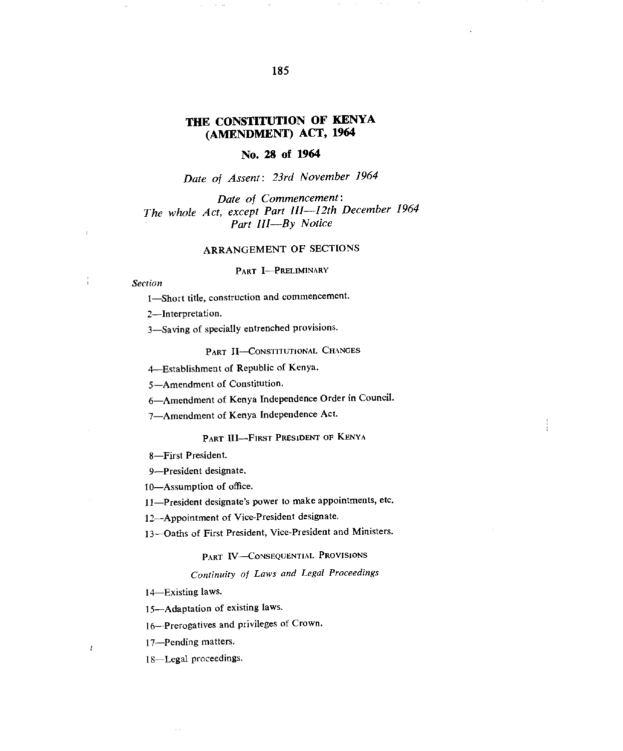# **THE CONSTITUTION OF KENYA (AMENDMENT) ACT, 1964**

### **No. 28 of 1964**

*Date of Assent: 23rd November 1964* 

*Date of Commencement: The whole Act, except Part Ill-12th December 1964 Part 111—By Notice* 

### ARRANGEMENT OF SECTIONS

PART I-PRELIMINARY

#### *Section*

I—Short title, construction and commencement.

2—Interpretation.

3—Saving of specially entrenched provisions.

PART II-CONSTITUTIONAL CHANGES

4—Establishment of Republic of Kenya.

5—Amendment of Constitution.

6—Amendment of Kenya Independence Order in Council.

7—Amendment of Kenya Independence Act.

## PART III-FIRST PRESIDENT OF KENYA

8—First President.

9—President designate.

10—Assumption of office.

11—President designate's power to make appointments, etc.

12—Appointment of Vice-President designate.

13—Oaths of First President, Vice-President and Ministers.

### PART IV-CONSEQUENTIAL PROVISIONS

## *Continuity of Laws and Legal Proceedings*

14—Existing laws.

15—Adaptation of existing laws.

16—Prerogatives and privileges of Crown.

17—Pending matters.

 $\bar{f}$ 

18—Legal proceedings.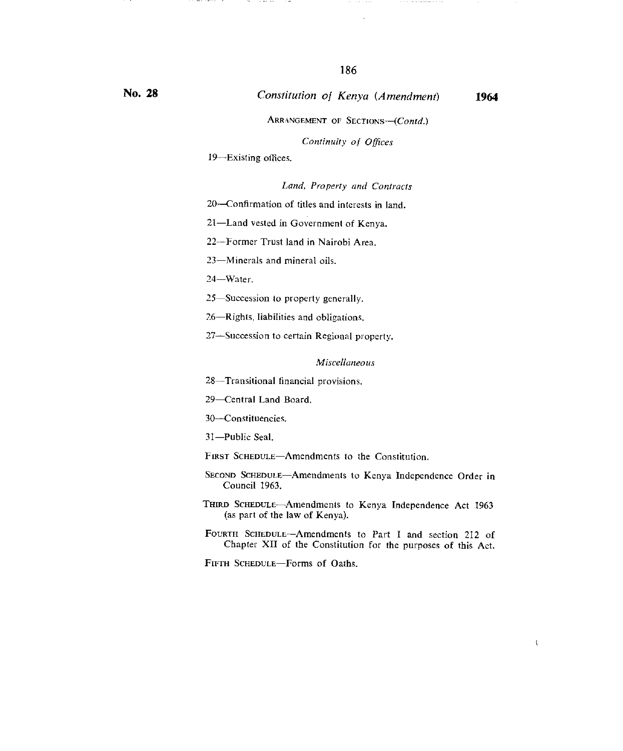# ARRANGEMENT OF SECTIONS-(Contd.)

#### *Continuity of Offices*

I9—Existing offices.

 $\cdots \quad \cdots \quad \cdots$  $\cdot$   $-$ 

#### *Land, Property and Contracts*

20—Confirmation of titles and interests in land.

21—Land vested in Government of Kenya.

22—Former Trust land in Nairobi Area.

23—Minerals and mineral oils.

24—Water.

25—Succession to property generally.

26—Rights, liabilities and obligations.

27—Succession to certain Regional property.

### *Miscellaneous*

28—Transitional financial provisions.

29—Central Land Board.

30—Constituencies.

31—Public Seal.

FIRST SCHEDULE—Amendments to the Constitution.

SECOND ScHEDuLE—Amendments to Kenya Independence Order in Council 1963.

THIRD SCHEDULE-Amendments to Kenya Independence Act 1963 (as part of the law of Kenya).

FOURTH SCHEDULE—Amendments to Part I and section 212 of Chapter XII of the Constitution for the purposes of this Act.

FIFTH SCHEDULE—Forms of Oaths.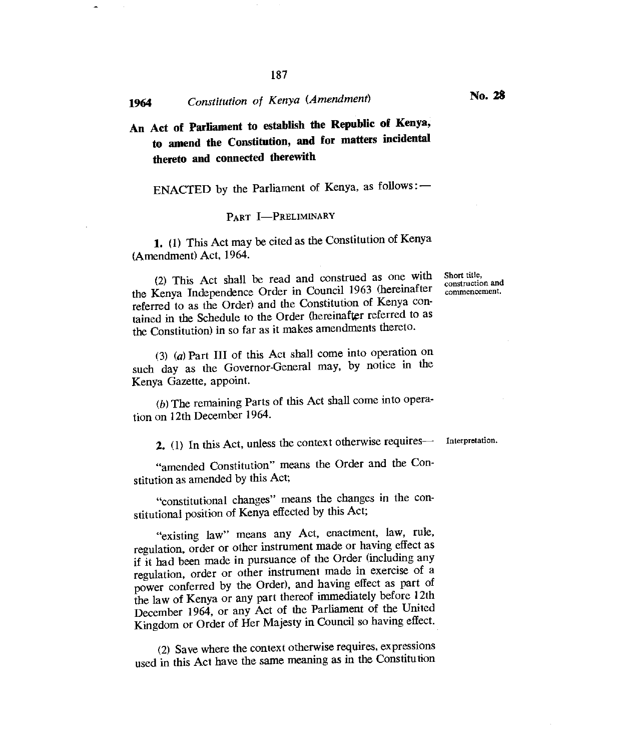# **<sup>1964</sup>***Constitution of Kenya (Amendment)* **No. 28**

**An Act of Parliament to establish the Republic of Kenya, to amend the Constitution, and for matters incidental thereto and connected therewith** 

ENACTED by the Parliament of Kenya, as follows : -

#### PART **I—PRELIMINARY**

1. (1) This Act may be cited as the Constitution of Kenya (Amendment) Act, 1964.

(2) This Act shall be read and construed as one with the Kenya Independence Order in Council 1963 (hereinafter referred to as the Order) and the Constitution of Kenya contained in the Schedule to the Order (hereinafter referred to as the Constitution) in so far as it makes amendments thereto.

*(3) (a)* Part III of this Act shall come into operation on such day as the Governor-General may, by notice in the Kenya Gazette, appoint.

*(b)* The remaining Parts of this Act shall come into operation on 12th December 1964.

**2.** (I) In this Act, unless the context otherwise requires— Interpretation.

"amended Constitution" means the Order and the Constitution as amended by this Act;

"constitutional changes" means the changes in the constitutional position of Kenya effected by this Act;

"existing law" means any Act, enactment, law, rule, regulation, order or other instrument made or having effect as if it had been made in pursuance of the Order (including any regulation, order or other instrument made in exercise of a power conferred by the Order), and having effect as part of the law of Kenya or any part thereof immediately before 12th December 1964, or any Act of the Parliament of the United Kingdom or Order of Her Majesty in Council so having effect.

(2) Save where the context otherwise requires, expressions used in this Act have the same meaning as in the Constitution

Short title, construction and commencement.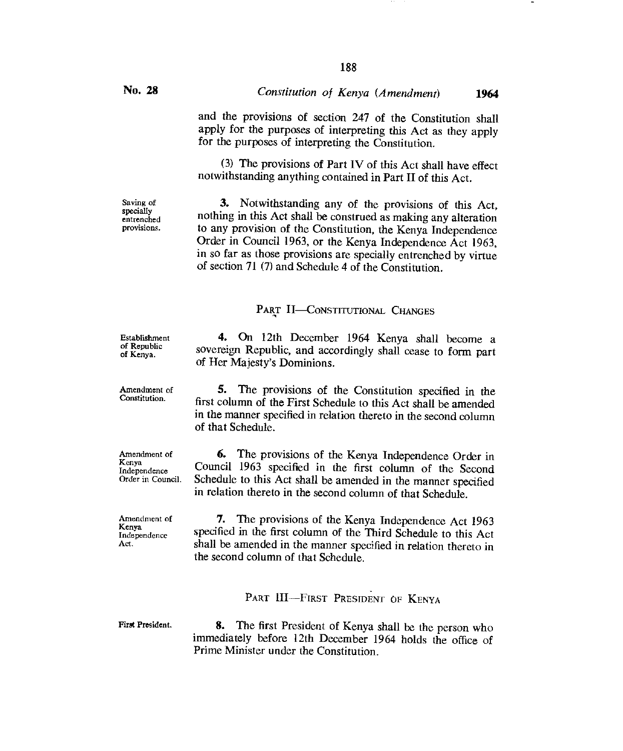Saving of specially entrenched provisions.

# **No. 28** *Constitution of Kenya (Amendment)* **<sup>1964</sup>**

and the provisions of section 247 of the Constitution shall apply for the purposes of interpreting this Act as they apply for the purposes of interpreting the Constitution.

(3) The provisions of Part IV of this Act shall have effect notwithstanding anything contained in Part II of this Act.

3. Notwithstanding any of the provisions of this Act, nothing in this Act shall be construed as making any alteration to any provision of the Constitution, the Kenya Independence Order in Council 1963, or the Kenya Independence Act 1963, in so far as those provisions are specially entrenched by virtue of section 71 (7) and Schedule 4 of the Constitution.

# PART II—CONSTITUTIONAL CHANGES

4. On 12th December 1964 Kenya shall become a sovereign Republic, and accordingly shall cease to form part of Her Majesty's Dominions.

**5. The** provisions of the Constitution specified in the first column of the First Schedule to this Act shall be amended in the manner specified in relation thereto in the second column of that Schedule.

6. The provisions of the Kenya Independence Order in Council 1963 specified in the first column of the Second Schedule to this Act shall be amended in the manner specified in relation thereto in the second column of that Schedule.

7. The provisions of the Kenya Independence Act 1963 specified in the first column of the Third Schedule to this Act shall be amended in the manner specified in relation thereto in the second column of that Schedule.

PART III--FIRST PRESIDENT OF KENYA

First President.

**8.** The first President of Kenya shall be the person who immediately before 12th December 1964 holds the office of Prime Minister under the Constitution.

Establishment of Republic of Kenya.

Amendment of Constitution.

Amendment of Kenya Independence Order in Council.

Amendment of Kenya Independence Act.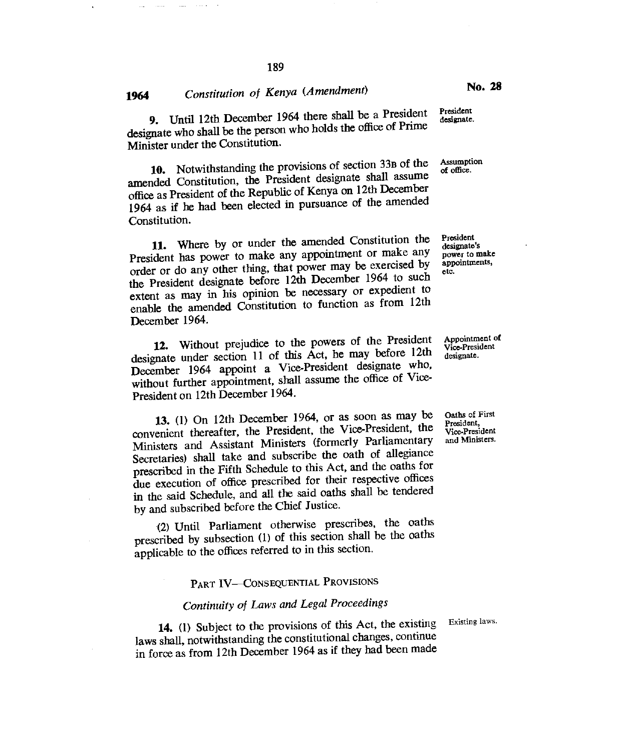9. Until 12th December 1964 there shall be a President designate who shall be the person who holds the office of Prime Minister under the Constitution.

10. Notwithstanding the provisions of section 33B of the amended Constitution, the President designate shall assume office as President of the Republic of Kenya on 12th December 1964 as if he had been elected in pursuance of the amended Constitution.

11. Where by or under the amended Constitution the President has power to make any appointment or make any order or do any other thing, that power may be exercised by the President designate before 12th December 1964 to such extent as may in his opinion be necessary or expedient to enable the amended Constitution to function as from 12th December 1964.

12. Without prejudice to the powers of the President designate under section 11 of this Act, he may before 12th December 1964 appoint a Vice-President designate who, without further appointment, shall assume the office of Vice-President on 12th December 1964.

13. (1) On 12th December 1964, or as soon as may be Oaths of First convenient thereafter, the President, the Vice-President, the President, Vice-President Ministers and Assistant Ministers (formerly Parliamentary Secretaries) shall take and subscribe the oath of allegiance prescribed in the Fifth Schedule to this Act, and the oaths for due execution of office prescribed for their respective offices in the said Schedule, and all the said oaths shall be tendered by and subscribed before the Chief Justice.

(2) Until Parliament otherwise prescribes, the oaths prescribed by subsection (1) of this section shall be the oaths applicable to the offices referred to in this section.

# PART TV—CONSEQUENTIAL PROVISIONS

# *Continuity of Laws and Legal Proceedings*

14. (1) Subject to the provisions of this Act, the existing laws shall, notwithstanding the constitutional changes, continue in force as from 12th December 1964 as if they had been made

Existing laws.

Vice-President

Appointment of Vice-President designate.

President designate.

Assumption of office.

President designate's power to make appointments,

etc.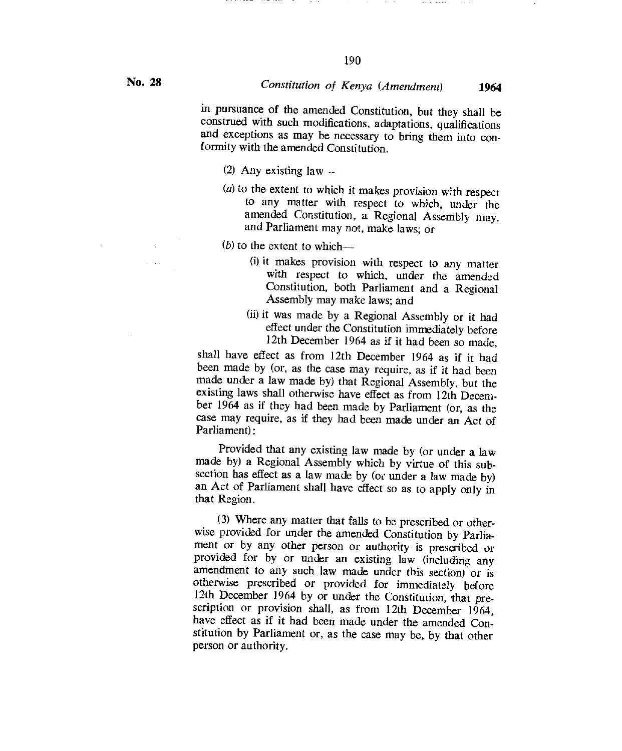in pursuance of the amended Constitution, but they shall be construed with such modifications, adaptations, qualifications and exceptions as may be necessary to bring them into conformity with the amended Constitution.

- (2) Any existing law—
- *(a)* to the extent to which it makes provision with respect to any matter with respect to which, under the amended Constitution, a Regional Assembly may, and Parliament may not, make laws; or
- (b) to the extent to which---
	- (i) it makes provision with respect to any matter with respect to which, under the amended Constitution, both Parliament and a Regional Assembly may make laws; and
	- (ii)it was made by a Regional Assembly or it had effect under the Constitution immediately before 12th December 1964 as if it had been so made,

shall have effect as from 12th December 1964 as if it had been made by (or, as the case may require, as if it had been made under a law made by) that Regional Assembly, but the existing laws shall otherwise have effect as from 12th December 1964 as if they had been made by Parliament (or, as the case may require, as if they had been made under an Act of Parliament):

Provided that any existing law made by (or under a law made by) a Regional Assembly which by virtue of this subsection has effect as a law made by (or under a law made by) an Act of Parliament shall have effect so as to apply only in that Region.

(3) Where any matter that falls to be prescribed or otherwise provided for under the amended Constitution by Parliament or by any other person or authority is prescribed or provided for by or under an existing law (including any amendment to any such law made under this section) or is otherwise prescribed or provided for immediately before 12th December 1964 by or under the Constitution, that prescription or provision shall, as from 12th December 1964, have effect as if it had been made under the amended Constitution by Parliament or, as the case may be, by that other person or authority.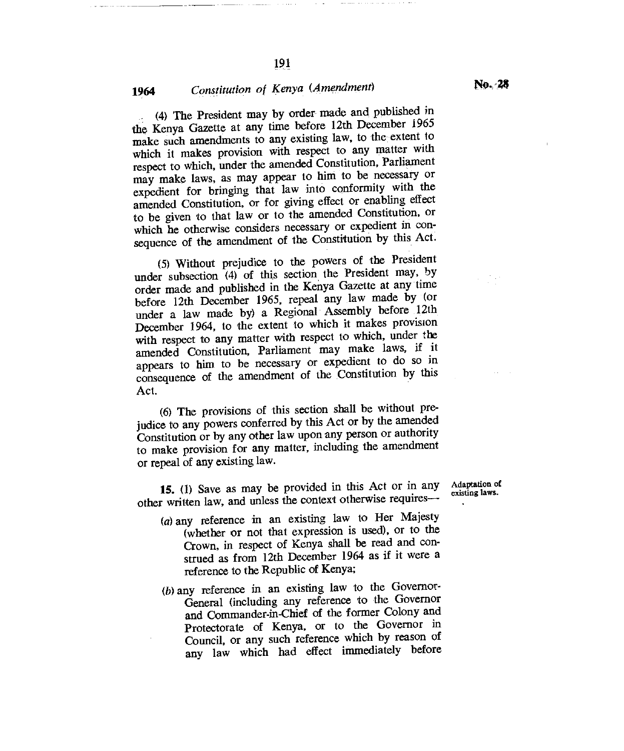(4) The President may by order made and published in the Kenya Gazette at any time before 12th December 1965 make such amendments to any existing law, to the extent to which it makes provision with respect to any matter with respect to which, under the amended Constitution, Parliament may make laws, as may appear to him to be necessary or expedient for bringing that law into conformity with the amended Constitution, or for giving effect or enabling effect to be given to that law or to the amended Constitution, or which he otherwise considers necessary or expedient in consequence of the amendment of the Constitution by this Act.

(5)Without prejudice to the powers of the President under subsection (4) of this section the President may, by order made and published in the Kenya Gazette at any time before 12th December 1965, repeal any law made by (or under a law made by) a Regional Assembly before 12th December 1964, to the extent to which it makes provision with respect to any matter with respect to which, under the amended Constitution, Parliament may make laws, if it appears to him to be necessary or expedient to do so in consequence of the amendment of the Constitution by this Act.

(6) The provisions of this section shall be without prejudice to any powers conferred by this Act or by the amended Constitution or by any other law upon any person or authority to make provision for any matter, including the amendment or repeal of any existing law.

**15.** (1) Save as may be provided in this Act or in any other written law, and unless the context otherwise requires--

- (a)any reference in an existing law to Her Majesty (whether or not that expression is used), or to the Crown, in respect of Kenya shall be read and construed as from 12th December 1964 as if it were a reference to the Republic of Kenya;
- (b)any reference in an existing law to the Governor-General (including any reference to the Governor and Commander-in-Chief of the former Colony and Protectorate of Kenya, or to the Governor in Council, or any such reference which by reason of any law which had effect immediately before

Adaptation of existing laws.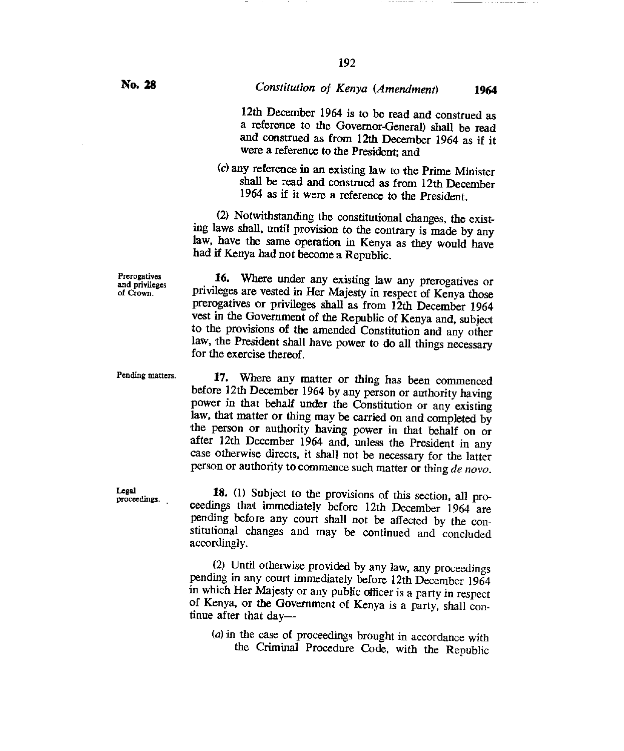192

12th December 1964 is to be read and construed as a reference to the Governor-General) shall be read and construed as from 12th December 1964 as if it were a reference to the President; and

(c) any reference in an existing law to the Prime Minister shall be read and construed as from 12th December 1964 as if it were a reference to the President.

(2) Notwithstanding the constitutional changes, the existing laws shall, until provision to the contrary is made by any law, have the same operation in Kenya as they would have had if Kenya had not become a Republic.

16. Where under any existing law any prerogatives or privileges are vested in Her Majesty in respect of Kenya those prerogatives or privileges shall as from 12th December 1964 vest in the Government of the Republic of Kenya and, subject to the provisions of the amended Constitution and any other law, the President shall have power to do all things necessary for the exercise thereof.

17. Where any matter or thing has been commenced before 12th December 1964 by any person or authority having power in that behalf under the Constitution or any existing law, that matter or thing may be carried on and completed by the person or authority having power in that behalf on or after 12th December 1964 and, unless the President in any case otherwise directs, it shall not be necessary for the latter person or authority to commence such matter or thing *de nova.* 

18. (1) Subject to the provisions of this section, all proceedings that immediately before 12th December 1964 are pending before any court shall not be affected by the constitutional changes and may be continued and concluded accordingly.

(2) Until otherwise provided by any law, any proceedings pending in any court immediately before 12th December 1964 in which Her Majesty or any public officer is a party in respect of Kenya, or the Government of Kenya is a party, shall continue after that day—

*(a)* in the case of proceedings brought in accordance with the Criminal Procedure Code, with the Republic

**Prerogatives** and privileges of Crown.

Pending matters.

Legal proceedings.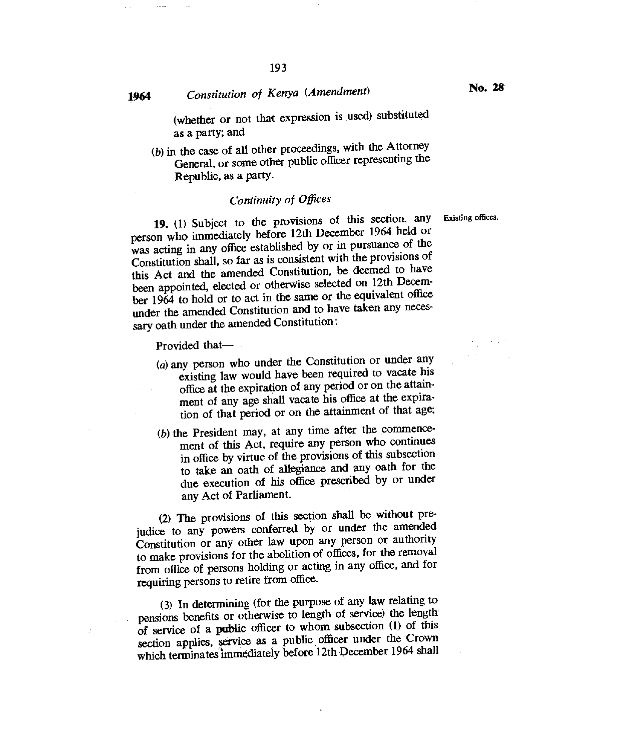# **1964** *Constitution of Kenya (Amendment)* **<b>No. 28**

(whether or not that expression is used) substituted

as a party; and

*(b)* in the case of all other proceedings, with the Attorney General, or some other public officer representing the Republic, as a party.

## *Continuity of Offices*

**19. (1)** Subject to the provisions of this section, any Existing offices. person who immediately before 12th December 1964 held or was acting in any office established by or in pursuance of the Constitution shall, so far as is consistent with the provisions of this Act and the amended Constitution, be deemed to have been appointed, elected or otherwise selected on 12th December 1964 to hold or to act in the same or the equivalent office under the amended Constitution and to have taken any necessary oath under the amended Constitution :

Provided that—

- (a)any person who under the Constitution or under any existing law would have been required to vacate his office at the expiration of any period or on the attainment of any age shall vacate his office at the expiration of that period or on the attainment of that *age;*
- $(b)$  the President may, at any time after the commencement of this Act, require any person who continues in office by virtue of the provisions of this subsection to take an oath of allegiance and any oath for the due execution of his office prescribed by or under any Act of Parliament.

(2) The provisions of this section shall be without prejudice to any powers conferred by or under the amended Constitution or any other law upon any person or authority to make provisions for the abolition of offices, for the removal from office of persons holding or acting in any office, and for requiring persons to retire from office.

(3)In determining (for the purpose of any law relating to pensions benefits or otherwise to length of service) the length of service of a public officer to whom subsection (1) of this section applies, service as a public officer under the Crown which terminates immediately before 12th December 1964 shall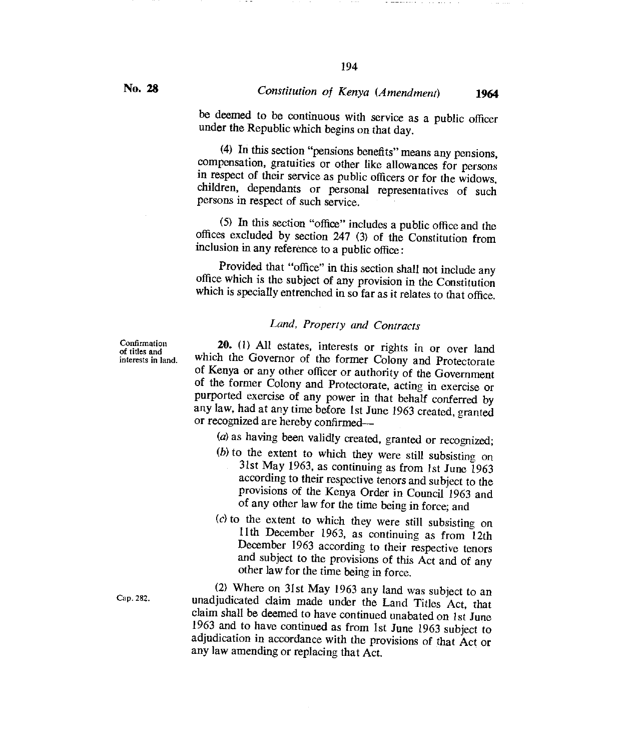be deemed to be continuous with service as a public officer under the Republic which begins on that day.

194

(4) In this section "pensions benefits" means any pensions, compensation, gratuities or other like allowances for persons in respect of their service as public officers or for the widows, children, dependants or personal representatives of such persons in respect of such service.

(5) In this section "office" includes a public office and the offices excluded by section 247 (3) of the Constitution from inclusion in any reference to a public office :

Provided that "office" in this section shall not include any office which is the subject of any provision in the Constitution which is specially entrenched in so far as it relates to that office.

# *Land, Property and Contracts*

**Confirmation** of titles and interests in land.

**20.** (1) All estates, interests or rights in or over land which the Governor of the former Colony and Protectorate of Kenya or any other officer or authority of the Government of the former Colony and Protectorate, acting in exercise or purported exercise of any power in that behalf conferred by any law, had at any time before **1st** June 1963 created, granted or recognized are hereby confirmed—

(a) as having been validly created, granted or recognized;

- $(b)$  to the extent to which they were still subsisting on 31st May 1963, as continuing as from 1st June 1963 according to their respective tenors and subject to the provisions of the Kenya Order in Council 1963 and of any other law for the time being in force; and
- $(c)$  to the extent to which they were still subsisting on I 1th December 1963, as continuing as from 12th December 1963 according to their respective tenors and subject to the provisions of this Act and of any other law for the time being in force.

(2) Where on 31st May 1963 any land was subject to an Cap. 282. unadjudicated claim made under the Land Titles Act, that claim shall be deemed to have continued unabated on 1st June 1963 and to have continued as from 1st June 1963 subject to adjudication in accordance with the provisions of that Act or any law amending or replacing that Act.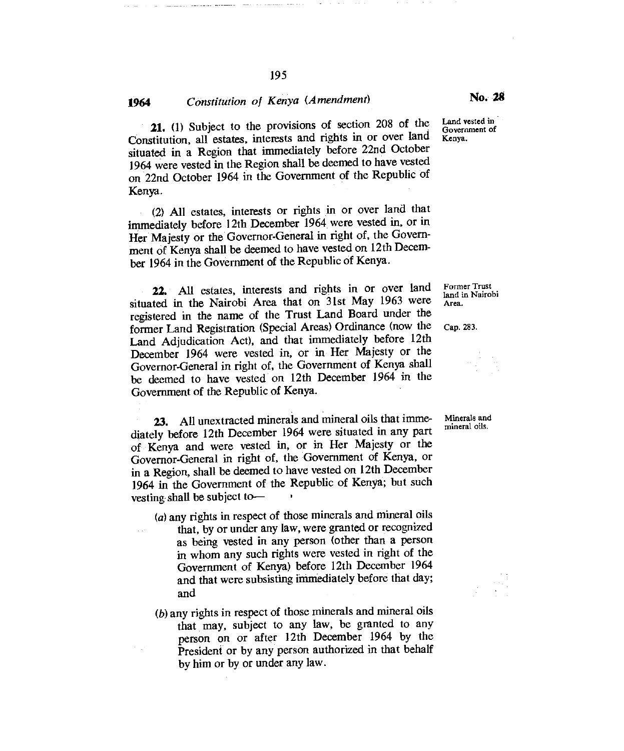# **<sup>1964</sup>***Constitution of Kenya (Amendment)* No. *<sup>28</sup>*

21. (1) Subject to the provisions of section 208 of the Constitution, all estates, interests and rights in or over land situated in a Region that immediately before 22nd October 1964 were vested in the Region shall be deemed to have vested on 22nd October 1964 in the Government of the Republic of Kenya.

(2) All estates, interests or rights in or over land that immediately before 121h December 1964 were vested in, or in Her Majesty or the Governor-General in right of, the Government of Kenya shall be deemed to have vested on 12th December 1964 in the Government of the Republic of Kenya.

22. All estates, interests and rights in or over land situated in the Nairobi Area that on 31st May 1963 were registered in the name of the Trust Land Board under the former Land Registration (Special Areas) Ordinance (now the Land Adjudication Act), and that immediately before 12th December 1964 were vested in, or in Her Majesty or the Governor-General in right of, the Government of Kenya shall be deemed to have vested on 12th December 1964 in the Government of the Republic of Kenya.

**23.** All unextracted minerals and mineral oils that imme- Minerals and diately before 12th December 1964 were situated in any part of Kenya and were vested in, or in Her Majesty or the Governor-General in right of, the Government of Kenya, or in a Region, shall be deemed to have vested on 12th December 1964 in the Government of the Republic of Kenya; but such vesting shall be subject to—

- $(a)$  any rights in respect of those minerals and mineral oils that, by or under any law, were granted or recognized as being vested in any person (other than a person in whom any such rights were vested in right of the Government of Kenya) before 12th December 1964 and that were subsisting immediately before that day; and
- (b)any rights in respect of those minerals and mineral oils that may, subject to any law, be granted to any person on or after 12th December 1964 by the President or by any person authorized in that behalf by him or by or under any law.

Kenya.

Former Trust land in Nairobi Area.

Cap. 283.

195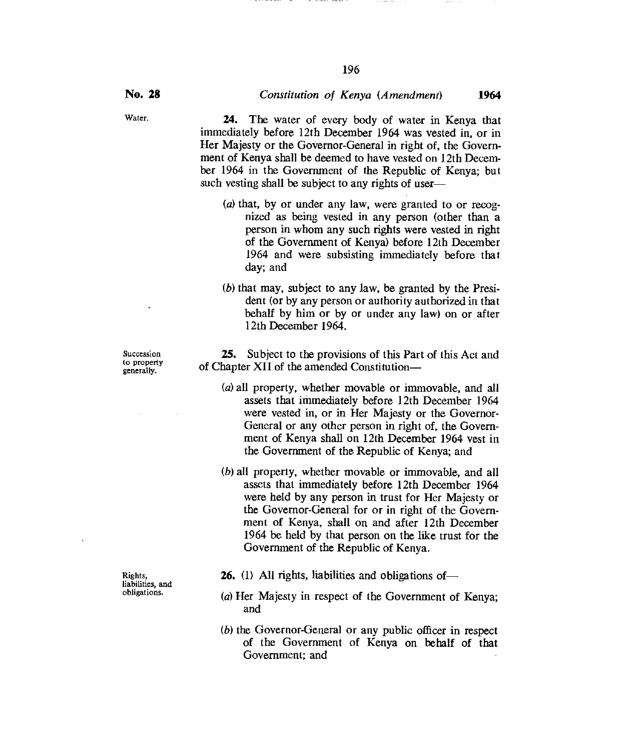Water. **24.** The water of every body of water in Kenya that immediately before 12th December 1964 was vested in, or in Her Majesty or the Governor-General in right of, the Government of Kenya shall be deemed to have vested on 12th December 1964 in the Government of the Republic of Kenya; but such vesting shall be subject to any rights of user—

- $(a)$  that, by or under any law, were granted to or recognized as being vested in any person (other than a person in whom any such rights were vested in right of the Government of Kenya) before 12th December 1964 and were subsisting immediately before that day; and
- $(b)$  that may, subject to any law, be granted by the President (or by any person or authority authorized in that behalf by him or by or under any law) on or after 12th December 1964.

**25.** Subject to the provisions of this Part of this Act and of Chapter XII of the amended Constitution—

- (*a*) all property, whether movable or immovable, and all assets that immediately before 12th December 1964 were vested in, or in Her Majesty or the Governor-General or any other person in right of, the Government of Kenya shall on 12th December 1964 vest in the Government of the Republic of Kenya; and
- (b)all property, whether movable or immovable, and all assets that immediately before 12th December 1964 were held by any person in trust for Her Majesty or the Governor-General for or in right of the Government of Kenya, shall on and after 12th December 1964 be held by that person on the like trust for the Government of the Republic of Kenya.
- **26.** (1) All rights, liabilities and obligations of—
- (a) Her Majesty in respect of the Government of Kenya; and
- $(b)$  the Governor-General or any public officer in respect of the Government of Kenya on behalf of that Government; and

Succession to property generally.

Rights, liabilities, and obligations.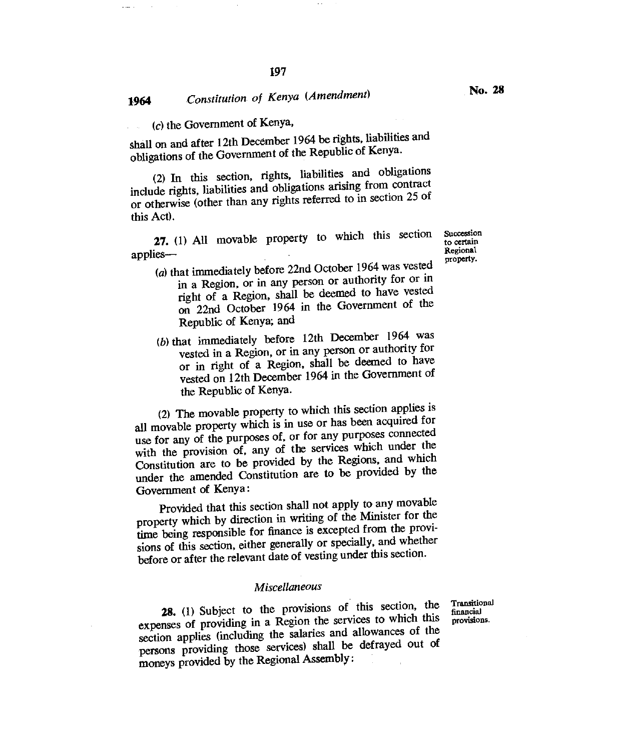$(c)$  the Government of Kenya,

shall on and after 12th December 1964 be rights, liabilities and obligations of the Government of the Republic of Kenya.

(2) In this section, rights, liabilities and obligations include rights, liabilities and obligations arising from contract or otherwise (other than any rights referred to in section 25 of this Act).

**27.** (1) All movable property to which this section Succession to certain Regional applies— Regional Regional Regional Regional Regional Regional Regional Regional Regional Regional Regional Regional Regional Regional Regional Regional Regional Regional Regional Regional Regional Regional Regional Region

to certain property.

- (a) that immediately before  $22n$ d October 1964 was vested in a Region, or in any person or authority for or in right of a Region, shall be deemed to have vested on 22nd October 1964 in the Government of the Republic of Kenya; and
- (b) that immediately before  $12$ th December 1964 was vested in a Region, or in any person or authority for or in right of a Region, shall be deemed to have vested on 12th December 1964 in the Government of the Republic of Kenya.

(2) The movable property to which this section applies is all movable property which is in use or has been acquired for use for any of the purposes of, or for any purposes connected with the provision of, any of the services which under the Constitution are to be provided by the Regions, and which under the amended Constitution are to be provided by the Government of Kenya:

Provided that this section shall not apply to any movable property which by direction in writing of the Minister for the time being responsible for finance is excepted from the provisions of this section, either generally or specially, and whether before or after the relevant date of vesting under this section.

### *Miscellaneous*

**28.** (1) Subject to the provisions of this section, the expenses of providing in a Region the services to which this section applies (including the salaries and allowances of the persons providing those services) shall be defrayed out of moneys provided by the Regional Assembly:

Transitional financial provisions.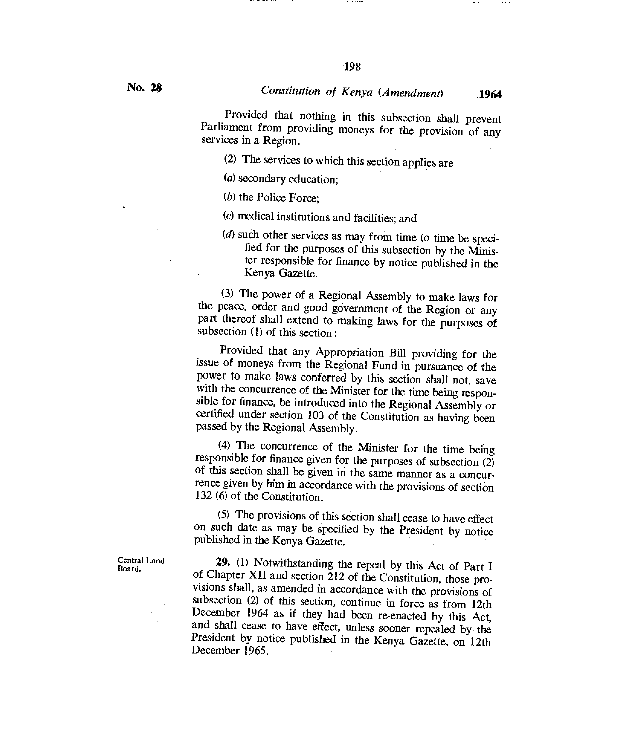Provided that nothing in this subsection shall prevent Parliament from providing moneys for the provision of any services in a Region.

(2) The services to which this section applies are—

(*a*) secondary education;

 $(b)$  the Police Force;

(c) medical institutions and facilities; and

 $(d)$  such other services as may from time to time be specified for the purposes of this subsection by the Minister responsible for finance by notice published in the Kenya Gazette.

(3) The power of a Regional Assembly to make laws for the peace, order and good government of the Region or any part thereof shall extend to making laws for the purposes of subsection (1) of this section :

Provided that any Appropriation Bill providing for the issue of moneys from the Regional Fund in pursuance of the power to make laws conferred by this section shall not, save with the concurrence of the Minister for the time being responsible for finance, be introduced into the Regional Assembly or certified under section 103 of the Constitution as having been passed by the Regional Assembly.

(4) The concurrence of the Minister for the time being responsible for finance given for the purposes of subsection  $(2)$ of this section shall be given in the same manner as a concurrence given by him in accordance with the provisions of section 132 (6) of the Constitution.

(5) The provisions of this section shall cease to have effect on such date as may be specified by the President by notice published in the Kenya Gazette.

**29.** (1) Notwithstanding the repeal by this Act of Part I of Chapter XII and section 212 of the Constitution, those provisions shall, as amended in accordance with the provisions of subsection (2) of this section, continue in force as from 12th December 1964 as if they had been re-enacted by this Act, and shall cease to have effect, unless sooner repealed by the President by notice published in the Kenya Gazette, on 12th December 1965.

Central Land Board.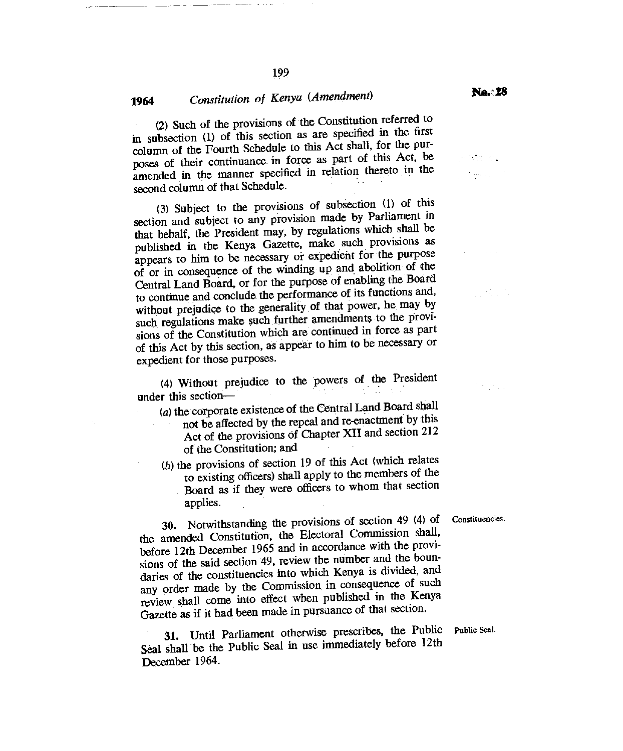(2) Such of the provisions of the Constitution referred to in subsection (1) of this section as are specified in the first column of the Fourth Schedule to this Act shall, for the purposes of their continuance in force as part of this Act, be amended in the manner specified in relation thereto in the second column of that Schedule.

199

(3) Subject to the provisions of subsection (1) of this section and subject to any provision made by Parliament in that behalf, the President may, by regulations which shall be published in the Kenya Gazette, make such provisions as appears to him to be necessary or expedient for the purpose of or in consequence of the winding up and abolition of the Central Land Board, or for the purpose of enabling the Board to continue and conclude the performance of its functions and, without prejudice to the generality of that power, he may by such regulations make such further amendments to the provisions of the Constitution which are continued in force as part of this Act by this section, as appear to him to be necessary or expedient for those purposes.

(4)Without prejudice to the powers of the President under this section

 $(a)$  the corporate existence of the Central Land Board shall not be affected by the repeal and re-enactment by this Act of the provisions of Chapter XII and section 212 of the Constitution; and

 $(b)$  the provisions of section 19 of this Act (which relates to existing officers) shall apply to the members of the Board as if they were officers to whom that section applies.

30. Notwithstanding the provisions of section 49 (4) of Constituencies. the amended Constitution, the Electoral Commission shall, before 12th December 1965 and in accordance with the provisions of the said section 49, review the number and the boundaries of the constituencies into which Kenya is divided, and any order made by the Commission in consequence of such review shall come into effect when published in the Kenya Gazette as if it had been made in pursuance of that section.

31. Until Parliament otherwise prescribes, the Public Seal shall be the Public Seal in use immediately before **12th**  December 1964.

Public Seal.

 $\label{eq:3.1} \left\langle \varphi_{\alpha\beta} \right\rangle = \left\langle \varphi_{\alpha\beta} \right\rangle = \left\langle \varphi_{\alpha\beta} \right\rangle$ <sup>in</sup> trac

an Albanya.<br>Tanah menyebabkan

 $\mathbb{R}^2$  , where  $\mathbb{R}^2$ 

 $\gamma$  ,  $\gamma$  ,  $\gamma$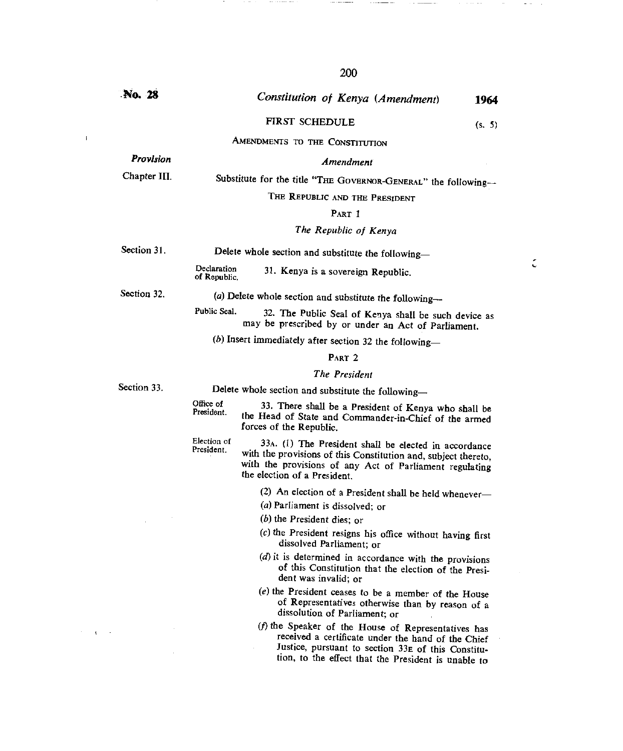**No. 28** *Constitution of Kenya (Amendment)* **<sup>1964</sup>** FIRST SCHEDULE (s. 5) AMENDMENTS TO THE CONSTITUTION *Provision Amendment*  Chapter III. Substitute for the title "THE GOVERNOR-GENERAL" the following-THE REPUBLIC AND THE PRESIDENT PART <sup>1</sup> *The Republic of Kenya*  Section 31. Delete whole section and substitute the following-Declaration<br>of Republic. 31. Kenya is a sovereign Republic. Section 32. (a) Delete whole section and substitute the following--Public Seal. 32. The Public Seal of Kenya shall be such device as may *be* prescribed by or under an Act of Parliament. *(b)* Insert immediately after section 32 the following— PART 2 *The President*  Section 33. Delete whole section and substitute the following-33. There shall *be* a President of Kenya who shall be the Head of State and Commander-in-Chief of the armed forces of the Republic. 33A. (1) The President shall be elected in accordance with the provisions of this Constitution and, subject thereto, with the provisions of any Act of Parliament regulating the election of a President. (2) An election of a President shall be held whenever— (a)Parliament is dissolved; or  $(b)$  the President dies; or  $(c)$  the President resigns his office without having first dissolved Parliament; or *(d) it* is determined in accordance with the provisions of this Constitution that the election of the President was invalid; or  $(e)$  the President ceases to be a member of the House of Representatives otherwise than by reason of a dissolution of Parliament; or  $(f)$  the Speaker of the House of Representatives has received a certificate under the hand of the Chief Justice, pursuant to section 33E of this Constitu-Office of President. Election of President.

tion, to the effect that the President is unable to

 $\mathbf{I}$ 

 $\mathbf{q}^{\mathrm{max}}$ 

C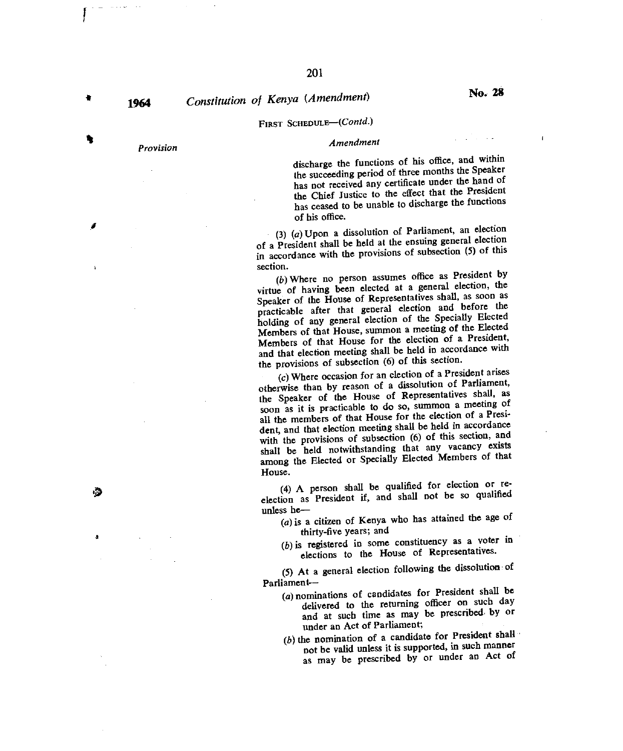# **1964** *Constitution of Kenya (Amendment)* **No. 28**

## FIRST SCHEDULE—(Contd.)

# *Provision Amendment*

discharge the functions of his office, and within the succeeding period of three months the Speaker has not received any certificate under the hand of the Chief Justice to the effect that the President has ceased to be unable to discharge the functions of his office.

(3) (a) Upon a dissolution of Parliament, an election of a President shall be held at the ensuing general election in accordance with the provisions of subsection (5) of this section.

(b)Where no person assumes office as President by virtue of having been elected at a general election, the Speaker of the House of Representatives shall, as soon as practicable after that general election and before the holding of any general election of the Specially Elected Members of that House, summon a meeting of the Elected Members of that House for the election of a President, and that election meeting shall be held in accordance with the provisions of subsection (6) of this section.

(c)Where occasion for an election of a President arises otherwise than by reason of a dissolution of Parliament, the Speaker of the House of Representatives shall, as soon as it is practicable to do so, summon a meeting of all the members of that House for the election of a President, and that election meeting shall be held in accordance with the provisions of subsection (6) of this section, and shall be held notwithstanding that any vacancy exists among the Elected or Specially Elected Members of that House.

(4) A person shall be qualified for election or reelection as President if, and shall not be so qualified unless he—

- $(a)$  is a citizen of Kenya who has attained the age of thirty-five years; and
- $(b)$  is registered in some constituency as a voter in elections to the House of Representatives.

(5) At a general election following the dissolution of Parliament--

- (a)nominations of candidates for President shall be delivered to the returning officer on such day and at such time as may be prescribed- by or under an Act of Parliament;
- $(b)$  the nomination of a candidate for President shall not be valid unless it is supported, in such manner as may be prescribed by or under an Act of

Á

 $\ddot{\phantom{1}}$ 

墙

ă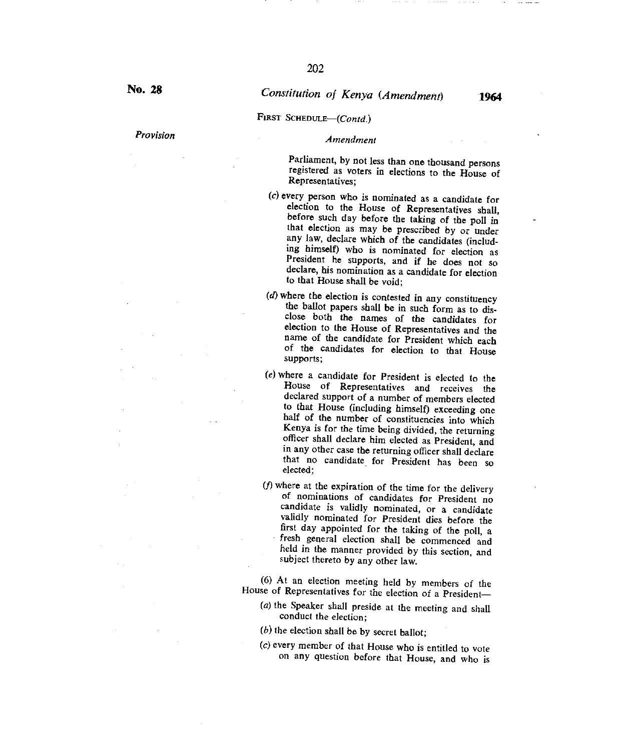### FIRST SCHEDULE-(Contd.)

# *Provision Amendment*

Parliament, by not less than one thousand persons registered as voters in elections to the House of Representatives;

- $(c)$  every person who is nominated as a candidate for election to the House of Representatives shall, before such day before the taking of *the* poll in that election as may be prescribed by or under any law, declare which of the candidates (including himself) who is nominated for election as President *he* supports, and if he does not so declare, his nomination as a candidate for election to that House shall be void;
- *(d) where* the election is contested in any constituency the ballot papers shall be in such form as to disclose both the names of the candidates for election to the House of Representatives and the name of the candidate for President which each of the candidates for election to that House supports;
- (e)where a candidate for President is elected to the House of Representatives and receives the declared support of a number of members elected to that House (including himself) exceeding one half of the number of constituencies into which Kenya is for the time being divided, the returning officer shall declare him elected as President, and in any other case the returning officer shall declare that no candidate for President has been so elected;
- $(f)$  where at the expiration of the time for the delivery of nominations of candidates for President no candidate is validly nominated, or a candidate validly nominated for President dies before the first day appointed for the taking of the poll, a fresh general election shall be commenced and held in the manner provided by this section, and subject thereto by any other law.

(6) At an election meeting held by members of the House of Representatives for the election of a President—

- $(a)$  the Speaker shall preside at the meeting and shall conduct the election;
- $(b)$  the election shall be by secret ballot;
- (c)every member of that House who is entitled to vote on any question before that House, and who is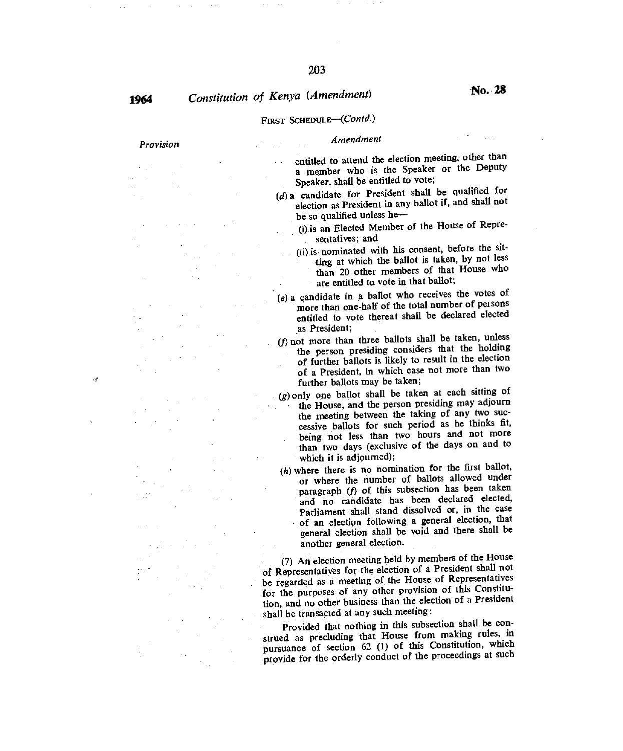$\mathcal{A}$ 

# **1964** *Constitution of Kenya (Amendment)* **<b>No. 28**

## FIRST SCHEDULE—(COntd.)

# *Provision Amendment*

entitled to attend the election meeting, other than a member who is the Speaker or the Deputy Speaker, shall be entitled to vote;

- *(d) a* candidate for President shall be qualified for election as President in any ballot if, and shall not be so qualified unless he-
	- (i)is an Elected Member of the House of Representatives; and
	- (ii) is nominated with his consent, before the sitting at which the ballot is taken, by not less than 20 other members of that House who are entitled to vote in that ballot;
- *(e)* a candidate in a ballot who receives the votes of more than one-half of the total number of persons entitled to vote thereat shall be declared elected as President;
- (f) not more than three ballots shall be taken, unless the person presiding considers that the holding of further ballots is likely to result in the election of a President, in which case not more than two further ballots may be taken;
- *(g) only* one ballot shall be taken at each sitting of the House, and the person presiding may adjourn the meeting between the taking of any two successive ballots for such period as he thinks fit, being not less than two hours and not more than two days (exclusive of the days on and to which it is adjourned);
- $(h)$  where there is no nomination for the first ballot, or where the number of ballots allowed under paragraph *(f)* of this subsection has been taken and no candidate has been declared elected, Parliament shall stand dissolved or, in the case of an election following a general election, that general election shall be void and there shall be another general election.

(7) An election meeting held by members of the House of Representatives for the election of a President shall not be regarded as a meeting of the House of Representatives for the purposes of any other provision of this Constitution, and no other business than the election of a President shall be transacted at any such meeting :

Provided that nothing in this subsection shall be construed as precluding that House from making rules, in pursuance of section 62 (1) of this Constitution, which provide for the orderly conduct of the proceedings at such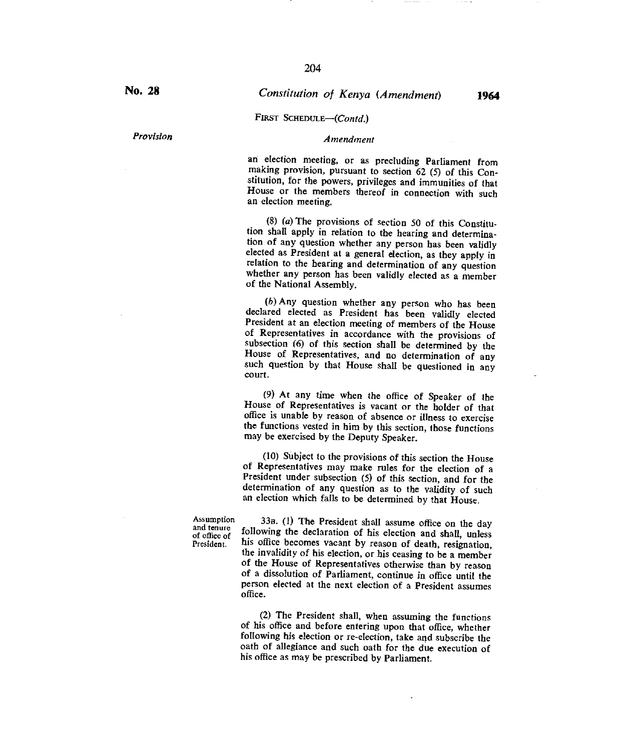*Provision Amendment* 

# FIRST SCHEDULE-(Contd.)

an election meeting, or as precluding Parliament from making provision, pursuant to section 62 (5) of this Constitution, for the powers, privileges and immunities of that House or the members thereof in connection with such an election meeting.

(8) (a) The provisions of section 50 of this Constitution shall apply in relation to the hearing and determination of any question whether any person has been validly elected as President at a general election, as they apply in relation to the hearing and determination of any question whether any person has been validly elected as a member of the National Assembly.

*(b)* Any question whether any person who has been declared elected as President has been validly elected President at an election meeting of members of the House of Representatives in accordance with the provisions of subsection (6) of this section shall be determined by the House of Representatives, and no determination of any such question by that House shall be questioned in any court.

(9) At any time when the office of Speaker of the House of Representatives is vacant or the holder of that office is unable by reason of absence or illness to exercise the functions vested in him by this section, those functions may be exercised by the Deputy Speaker.

(10) Subject to the provisions of this section the House of Representatives may make rules for the election of a President under subsection (5) of this section, and for the determination of any question as to the validity of such an election which falls to be determined by that House.

Assumption and tenure of office of President.

33n. (1) The President shall assume office on the day following the declaration of his election and shall, unless his office becomes vacant by reason of death, resignation, the invalidity of his election, or his ceasing to be a member of the House of Representatives otherwise than by reason of a dissolution of Parliament, continue in office until the person elected at the next election of a President assumes office.

(2) The President shall, when assuming the functions of his office and before entering upon that office, whether following his election or re-election, take and subscribe the oath of allegiance and such oath for the due execution of his office as may be prescribed by Parliament.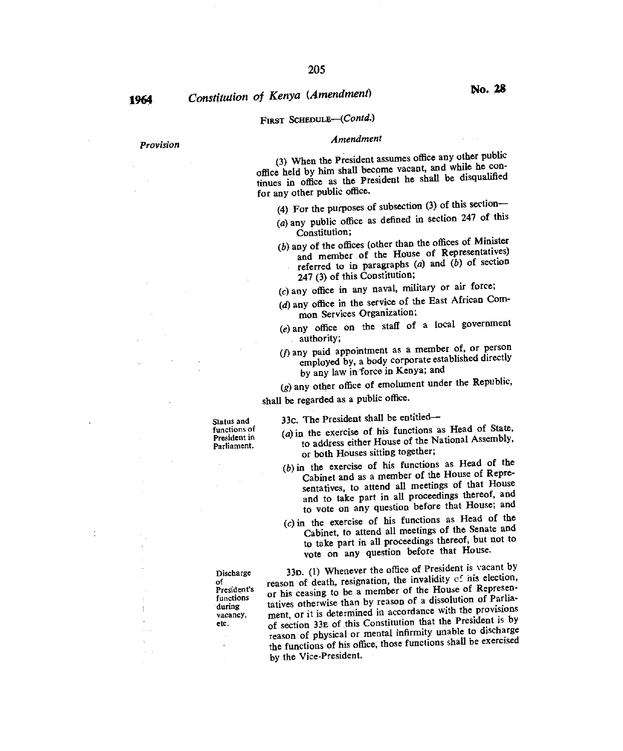# **1964** *Constitution of Kenya (Amendment)* **<b>No. 28**

## FIRST SCHEDULE-(Contd.)

#### *Amendment*

(3) When the President assumes office any other public office held by him shall become vacant, and while he continues in office as the President he shall be disqualified for any other public office.

(4) For the purposes of subsection (3) of this section—

- (a) any public office as defined in section  $247$  of this Constitution;
- $(b)$  any of the offices (other than the offices of Minister and member of the House of Representatives) referred to in paragraphs (a) and *(b)* of section 247 (3) of this Constitution;
- (c)any office in any naval, military or air force;
- (d) any office in the service of the East African Common Services Organization;
- $(e)$  any office on the staff of a local government authority;
- *(fl* any paid appointment as a member of, or person employed by, a body corporate established directly by any law in:force in Kenya; and

*(g)* any other office of emolument under the Republic,

shall be regarded as a public office.

Status and functions of President in Parliament.

Discharge of President's functions during vacancy, etc.

33c. The President shall be entitled—

- (a)in the exercise of his functions as Head of State, to address either House of the National Assembly, or both Houses sitting together;
- $(b)$  in the exercise of his functions as Head of the Cabinet and as a member of the House of Representatives, to attend all meetings of that House and to take part in all proceedings thereof, and to vote on any question before that House; and
- (c)in the exercise of his functions as Head of the Cabinet, to attend all meetings of the Senate and to take part in all proceedings thereof, but not to vote on any question before that House.

33o. (1) Whenever the office of President is vacant by reason of death, resignation, the invalidity of nis election, or his ceasing to be a member of the House of Representatives otherwise than by reason of a dissolution of Parliament, or it is determined in accordance with the provisions of section 33E of this Constitution that the President is by reason of physical or mental infirmity unable to discharge the functions of his office, those functions shall be exercised by the Vice-President.

÷,

*Provision*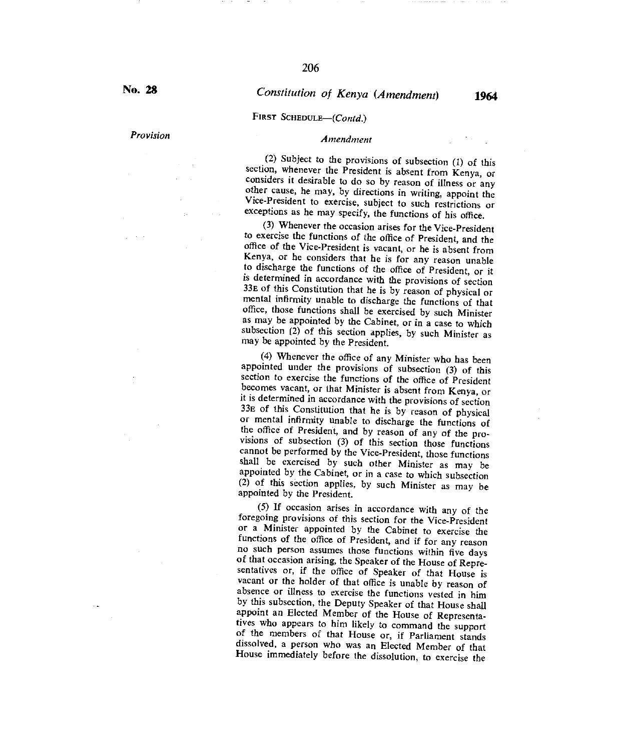#### FIRST SCHEDULE-(Contd.)

# *Provision Amendment*

(2) Subject to the provisions of subsection (I) of this section, whenever the President is absent from Kenya, or considers it desirable to do so by reason of illness or any other cause, he may, by directions in writing, appoint the Vice-President to exercise, subject to such restrictions or exceptions as he may specify, the functions of his office.

(3) Whenever the occasion arises for the Vice-President to exercise the functions of the office of President, and the office of the Vice-President is vacant, or he is absent from Kenya, or he considers that he is for any reason unable to discharge the functions of the office of President, or it is determined in accordance with the provisions of section 33E of this Constitution that he is by reason of physical or mental infirmity unable to discharge the functions of that office, those functions shall be exercised by such Minister as may be appointed by the Cabinet, or in a case to which subsection (2) of this section applies, by such Minister as may be appointed by the President.

(4) Whenever the office of any Minister who has been appointed under the provisions of subsection (3) of this section to exercise the functions of the office of President becomes vacant, or that Minister is absent from Kenya, or it is determined in accordance with the provisions of section 33e of this Constitution that he is by reason of physical or mental infirmity unable to discharge the functions of the office of President, and by reason of any of the provisions of subsection (3) of this section those functions cannot be performed by the Vice-President, those functions shall be exercised by such other Minister as may be appointed by the Cabinet, or in a case to which subsection (2) of this section applies, by such Minister as may be appointed by the President.

(5) If occasion arises in accordance with any of the foregoing provisions of this section for the Vice-President or a Minister appointed by the Cabinet to exercise the functions of the office of President, and if for any reason no such person assumes those functions within five days of that occasion arising, the Speaker of the House of Representatives or, if the office of Speaker of that House is vacant or the holder of that office is unable by reason of absence or illness to exercise the functions vested in him by this subsection, the Deputy Speaker of that House shall appoint an Elected Member of the House of Representatives who appears to him likely to command the support of the members of that House or, if Parliament stands dissolved, a person who was an Elected Member of that House immediately before the dissolution, to exercise the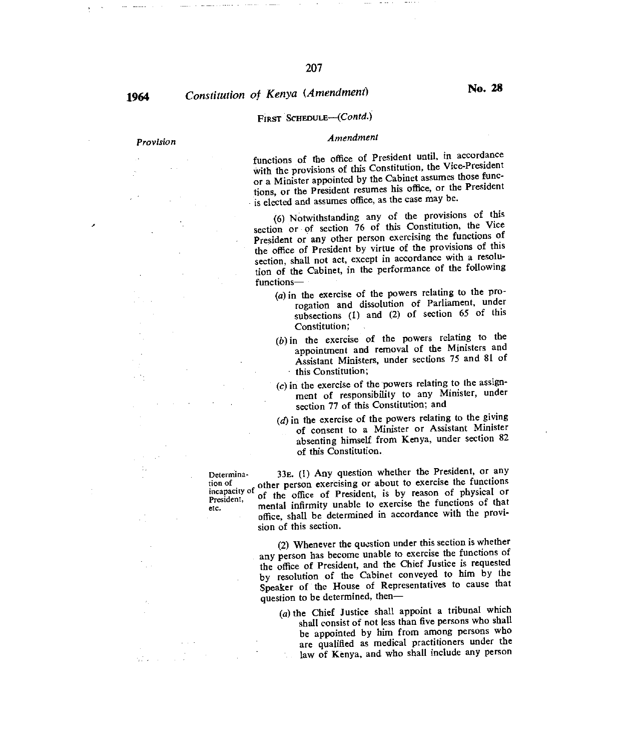# **1964** *Constitution of Kenya (Amendment)* **<b>No. 28**

tion of

### FIRST SCHEDULE-(Contd.)

## *Provision Amendment*

functions of the office of President until, in accordance with the provisions of this Constitution, the Vice-President or a Minister appointed by the Cabinet assumes those functions, or the President resumes his office, or the President is elected and assumes office, as the case may be.

(6) Notwithstanding any of the provisions of this section or of section 76 of this Constitution, the Vice President or any other person exercising the functions of the office of President by virtue of the provisions of this section, shall not act, except in accordance with a resolution of the Cabinet, in the performance of the following functions—

- $(a)$  in the exercise of the powers relating to the prorogation and dissolution of Parliament, under subsections (1) and (2) of section 65 of this Constitution;
- (b)in the exercise of the powers relating to the appointment and removal of the Ministers and Assistant Ministers, under sections 75 and 81 of this Constitution;
- $(c)$  in the exercise of the powers relating to the assignment of responsibility to any Minister, under section 77 of this Constitution; and
- $(d)$  in the exercise of the powers relating to the giving of consent to a Minister or Assistant Minister absenting himself from Kenya, under section 82 of this Constitution.

Determina- 33E. (1) Any question whether the President, or any i n c ap a city of other person exercising or about to exercise the functions meapacity of the office of President, is by reason of physical or President, mental infirmity unable to exercise the functions of that mental infirmity unable to exercise the functions of that office, shall be determined in accordance with the provision of this section.

> (2) Whenever the question under this section is whether any person has become unable to exercise the functions of the office of President, and the Chief Justice is requested by resolution of the Cabinet conveyed to him by the Speaker of the House of Representatives to cause that question to be determined, then—

*(a)* the Chief Justice shall appoint a tribunal which shall consist of not less than five persons who shall be appointed by him from among persons who are qualified as medical practitioners under the law of Kenya, and who shall include any person  $\mathbb{Q}_2$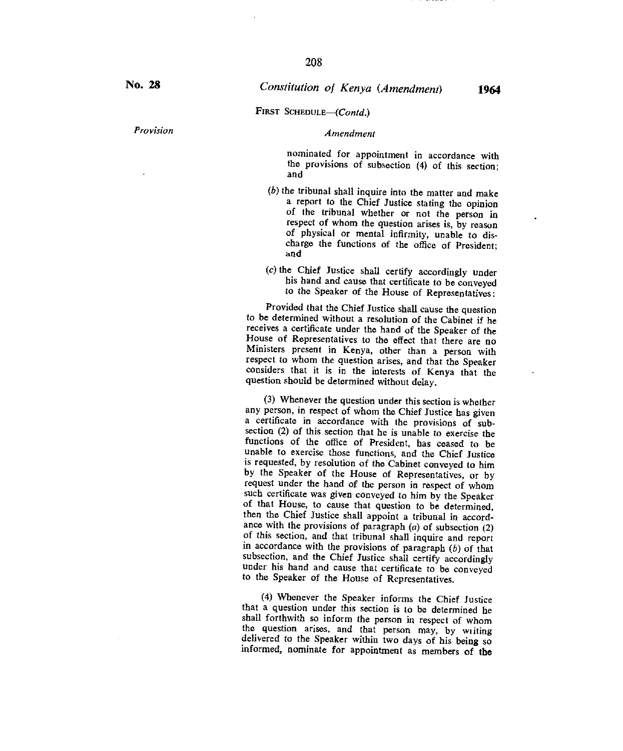FIRST SCHEDULE-(Contd.)

### *Provision Amendment*

nominated for appointment in accordance with the provisions of subsection (4) of this section; and

- $(b)$  the tribunal shall inquire into the matter and make a report to the Chief Justice stating the opinion of the tribunal whether or not the person in respect of whom the question arises is, by reason of physical or mental infirmity, unable to discharge the functions of the office of President; and
- (c)the Chief Justice shall certify accordingly under his hand and cause that certificate to be conveyed to the Speaker of the House of Representatives:

Provided that the Chief Justice shall cause the question to be determined without a resolution of the Cabinet if he receives a certificate under the hand of the Speaker of the House of Representatives to the effect that there are no Ministers present in Kenya, other than a person with respect to whom the question arises, and that the Speaker considers that it is in the interests of Kenya that the question should be determined without delay.

(3) Whenever *the* question under this section is whether any person, in respect of whom the Chief Justice has given a certificate in accordance with the provisions of subsection (2) of this section that he is unable to exercise the functions of the office of President, has ceased to be unable to exercise those functions, and the Chief Justice is requested, by resolution of the Cabinet conveyed to him by the Speaker of the House of Representatives, or by request under the hand of the person in respect of whom such certificate was given conveyed to him by the Speaker of that House, to cause that question to be determined, then the Chief Justice shall appoint a tribunal in accordance with the provisions of paragraph  $(a)$  of subsection  $(2)$ of this section, and that tribunal shall inquire and report in accordance with the provisions of paragraph *(b)* of that subsection, and the Chief Justice shall certify accordingly under his hand and cause that certificate to be conveyed to the Speaker of the House of Representatives.

(4) Whenever the Speaker informs the Chief Justice that a question under this section is to be determined he shall forthwith so inform the person in respect of whom the question arises, and that person may, by writing delivered to the Speaker within two days of his being so informed, nominate for appointment as members of **the**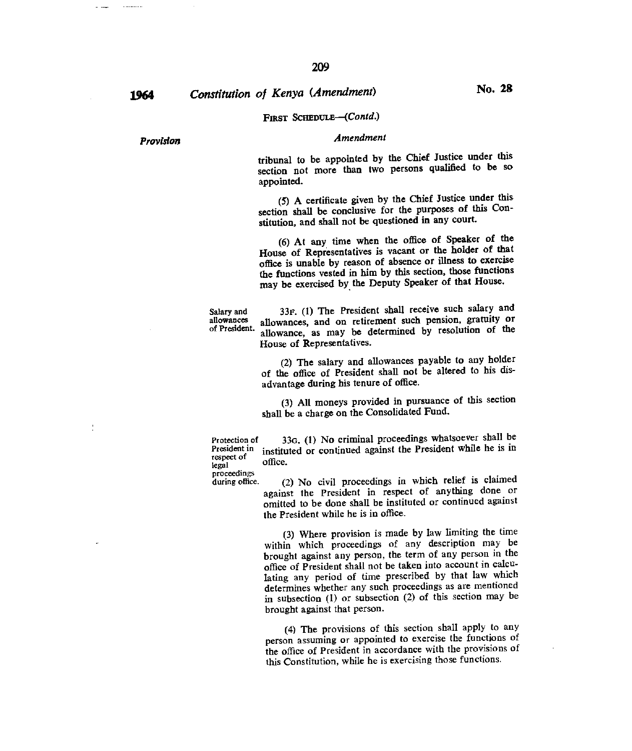# **1964** Constitution of Kenya (Amendment) **No. 28**

### FIRST SCHEDULE-(Contd.)

### *Provision Amendment*

tribunal to be appointed by the Chief Justice under this section not more than two persons qualified to be so appointed.

(5) A certificate given by the Chief Justice under this section shall be conclusive for the purposes of this Constitution, and shall not be questioned in any court.

(6) At any time when the office of Speaker of the House of Representatives is vacant or the holder of that office is unable by reason of absence or illness to exercise the functions vested in him by this section, those functions may be exercised by the Deputy Speaker of that House.

Salary and  $33F$ . (1) The President shall receive such salary and allowances and on retirement such pension, gratuity or allowances allowances, and on retirement such pension, gratuity or allowance, as may be determined by resolution of the House of Representatives.

> (2) The salary and allowances payable to any holder of the office of President shall not be altered to his disadvantage during his tenure of office.

> (3) All moneys provided in pursuance of this section shall be a charge on the Consolidated Fund.

Protection of  $33G$ . (1) No criminal proceedings whatsoever shall be President in instituted or continued against the President while he is in instituted or continued against the President while he is in respect of the usual

proceedings<br>during office.

(2) No civil proceedings in which relief is claimed against the President in respect of anything done or omitted to be done shall be instituted or continued against the President while he is in office.

(3) Where provision is made by law limiting the time within which proceedings of any description may be brought against any person, the term of any person in the office of President shall not be taken into account in calculating any period of time prescribed by that law which determines whether any such proceedings as are mentioned in subsection (1) or subsection (2) of this section may be brought against that person.

(4) The provisions of this section shall apply to any person assuming or appointed to exercise the functions of the office of President in accordance with the provisions of this Constitution, while he is exercising those functions.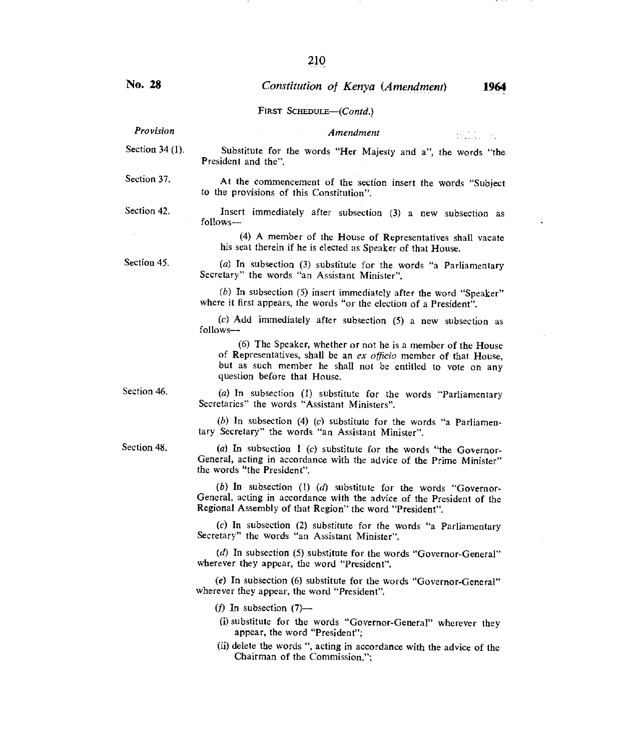FIRST SCHEDULE—(Contd.)

# *Provision Amendment*

Section 34 (1). Substitute for the words "Her Majesty and a", the words "the President and the".

Section 37. At the commencement of the section insert the words "Subject to the provisions of this Constitution".

Section 42.

Insert immediately after subsection (3) a new subsection as follows—

> (4) A member of the House of Representatives shall vacate his seat therein if he is elected as Speaker of that House.

> (a) In subsection (3) substitute for the words "a Parliamentary

Section 45.

Secretary" the words "an Assistant Minister".

(b) In subsection (5) insert immediately after the word "Speaker" where it first appears, the words "or the election of a President".

(c) Add immediately after subsection (5) a new subsection as follows—

(6) The Speaker, whether or not he is a member of the House of Representatives, shall be an *ex officio* member of that House, but as such member he shall not be entitled to vote on any question before that House.

Section 46.

(a) In subsection (1) substitute for the words "Parliamentary Secretaries" the words "Assistant Ministers".

(b) In subsection (4) *(c)* substitute for the words "a Parliamentary Secretary" the words "an Assistant Minister".

(a) In subsection 1 *(c)* substitute for the words "the Governor-General, acting in accordance with the advice of the Prime Minister" the words "the President".

(b) In subsection (1) *(d)* substitute for the words "Governor-General, acting in accordance with the advice of the President of the Regional Assembly of that Region" the word "President".

(c) In subsection (2) substitute for the words "a Parliamentary Secretary" the words "an Assistant Minister".

(d) In subsection (5) substitute for the words "Governor-General" wherever they appear, the word "President".

(e) In subsection (6) substitute for the words "Governor-General" wherever they appear, the word "President".

(f) In subsection  $(7)$ —

- (i) substitute for the words "Governor-General" wherever they appear, the word "President";
- (ii) delete the words ", acting in accordance with the advice of the Chairman of the Commission,";

Section 48.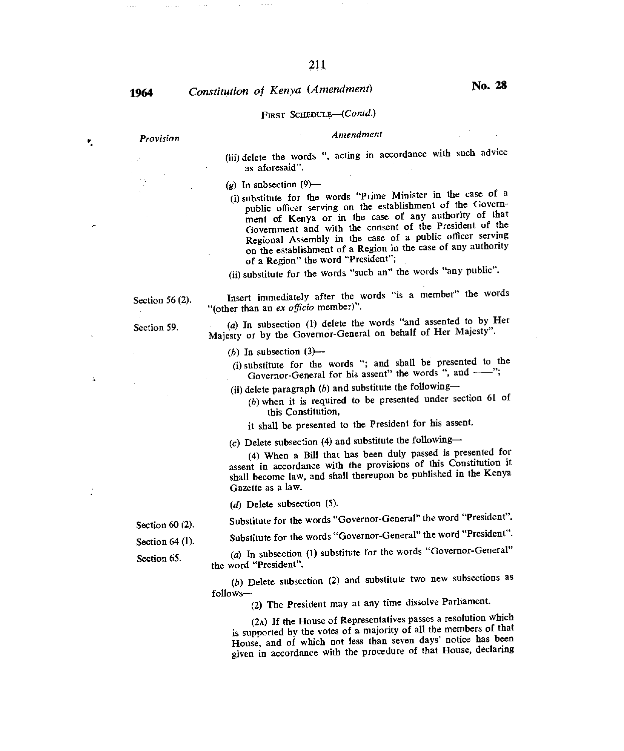Y,

 $\Delta$ 

is i

 $\sim 10^{11}$  and

# **<sup>1964</sup>***Constitution of Kenya (Amendment)* **No. 28**

### FIRST SCHEDULE—(Contd.)

## *Provision Amendment*

(iii) delete the words ", acting in accordance with such advice as aforesaid".

 $(g)$  In subsection  $(9)$ —

(i)substitute for the words "Prime Minister in the case of a public officer serving on the establishment of the Government of Kenya or in the case of any authority of that Government and with the consent of the President of the Regional Assembly in the case of a public officer serving on the establishment of a Region in the case of any authority of a Region" the word "President";

(ii)substitute for the words "such an" the words "any public".

Section 56 (2).

Section 59.

Insert immediately after the words "is a member" the words "(other than an *ex officio* member)".

(a) In subsection (1) delete the words "and assented to by Her Majesty or by the Governor-General on behalf of Her Majesty".

 $(b)$  In subsection  $(3)$ —

(i) substitute for the words "; and shall be presented to the Governor-General for his assent" the words ", and --";

(ii) delete paragraph  $(b)$  and substitute the following—

*(b)* when it is required to be presented under section 61 of this Constitution,

it shall be presented to the President for his assent.

(c) Delete subsection (4) and substitute the following-

(4) When a Bill that has been duly passed is presented for assent in accordance with the provisions of this Constitution it shall become law, and shall thereupon be published in the Kenya Gazette as a law.

(d) Delete subsection (5).

Substitute for the words "Governor-General" the word "President".

Substitute for the words "Governor-General" the word "President".

(a) In subsection (1) substitute for the words "Governor-General" the word "President".

(b) Delete subsection (2) and substitute two new subsections as follows—

(2) The President may at any time dissolve Parliament.

(2A) If the House of Representatives passes a resolution which is supported by the votes of a majority of all the members of that House, and of which not less than seven days' notice has been given in accordance with the procedure of that House, declaring

Section 60 (2).

Section 64 (1).

Section 65.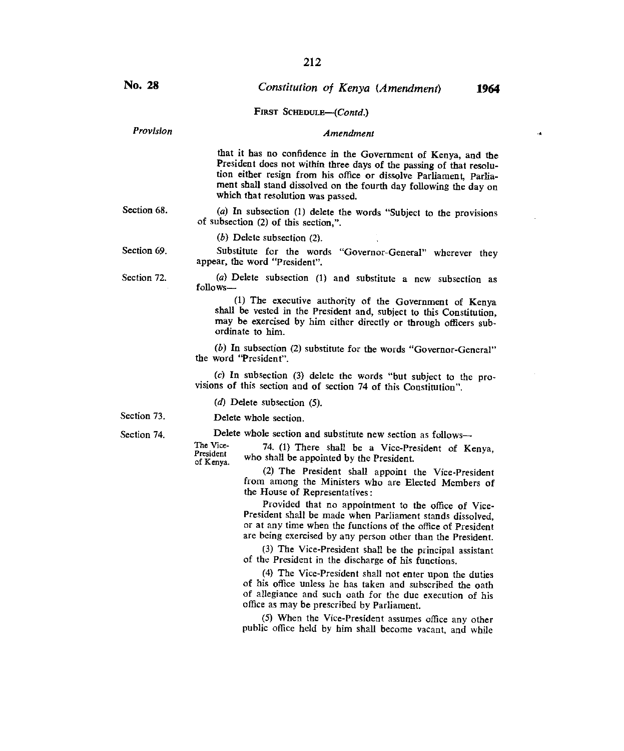$\mathbf{A}$ 

| No. 28      | Constitution of Kenya (Amendment)<br>1964                                                                                                                                                                                                                                                                            |
|-------------|----------------------------------------------------------------------------------------------------------------------------------------------------------------------------------------------------------------------------------------------------------------------------------------------------------------------|
|             | FIRST SCHEDULE-(Contd.)                                                                                                                                                                                                                                                                                              |
| Provision   | Amendment                                                                                                                                                                                                                                                                                                            |
|             | that it has no confidence in the Government of Kenya, and the<br>President does not within three days of the passing of that resolu-<br>tion either resign from his office or dissolve Parliament, Parlia-<br>ment shall stand dissolved on the fourth day following the day on<br>which that resolution was passed. |
| Section 68. | (a) In subsection (1) delete the words "Subject to the provisions<br>of subsection (2) of this section,".                                                                                                                                                                                                            |
|             | $(b)$ Delete subsection $(2)$ .                                                                                                                                                                                                                                                                                      |
| Section 69. | Substitute for the words "Governor-General" wherever they<br>appear, the word "President".                                                                                                                                                                                                                           |
| Section 72. | (a) Delete subsection (1) and substitute a new subsection as<br>$follows -$                                                                                                                                                                                                                                          |
|             | (1) The executive authority of the Government of Kenya<br>shall be vested in the President and, subject to this Constitution,<br>may be exercised by him either directly or through officers sub-<br>ordinate to him.                                                                                                |
|             | (b) In subsection (2) substitute for the words "Governor-General"<br>the word "President".                                                                                                                                                                                                                           |
|             | (c) In subsection (3) delete the words "but subject to the pro-<br>visions of this section and of section 74 of this Constitution".                                                                                                                                                                                  |
|             | $(d)$ Delete subsection $(5)$ .                                                                                                                                                                                                                                                                                      |
| Section 73. | Delete whole section.                                                                                                                                                                                                                                                                                                |
| Section 74. | Delete whole section and substitute new section as follows-                                                                                                                                                                                                                                                          |
|             | The Vice-<br>74. (1) There shall be a Vice-President of Kenya,<br>President<br>who shall be appointed by the President.<br>of Kenva.                                                                                                                                                                                 |
|             | (2) The President shall appoint the Vice-President<br>from among the Ministers who are Elected Members of<br>the House of Representatives:                                                                                                                                                                           |
|             | Provided that no appointment to the office of Vice-<br>President shall be made when Parliament stands dissolved,<br>or at any time when the functions of the office of President                                                                                                                                     |

or at any time when the functions of the office of President are being exercised by any person other than the President.

(3) The Vice-President shall be the principal assistant of the President in the discharge of his functions.

(4) The Vice-President shall not enter upon the duties of his office unless he has taken and subscribed the oath of allegiance and such oath for the due execution of his office as may be prescribed by Parliament.

(5) When the Vice-President assumes office any other public office held by him shall become vacant, and while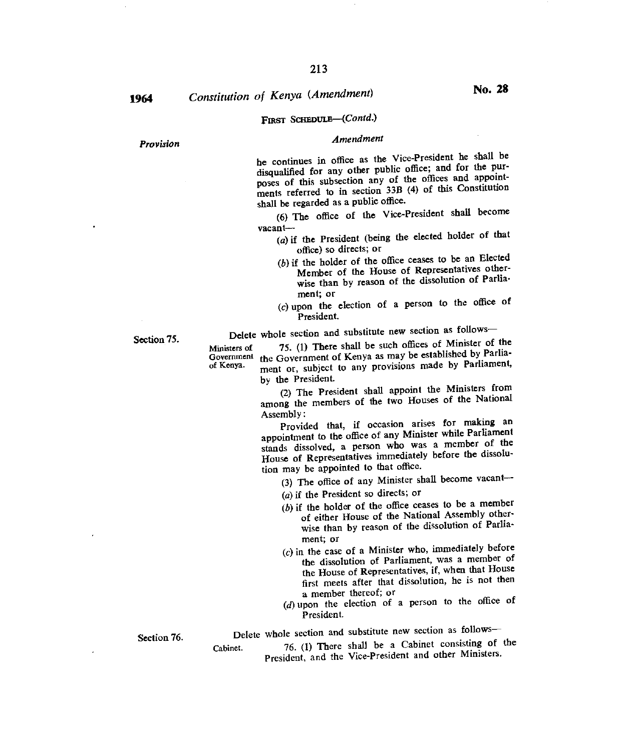# **1964** *Constitution of Kenya (Amendment)* **<b>No. 28**

# FIRST SCHEDULE—(Contd.)

# *Provision Amendment*

he continues in office as the Vice-President he shall be disqualified for any other public office; and for the purposes of this subsection any of the offices and appointments referred to in section 33B (4) of this Constitution shall be regarded as a public office.

(6) The office of the Vice-President shall become vacant—

- (a)if the President (being the elected holder of that office) so directs; or
- (b)if the holder of the office ceases to be an Elected Member of the House of Representatives otherwise than by reason of the dissolution of Parliament; or
- $(c)$  upon the election of a person to the office of President.

Delete whole section and substitute new section as follows—

Section 75.

Ministers of *75.* (1) There shall be such offices of Minister of the Government of Kenya as may be established by Parlia-Government the Government of Kenya as may be established by Parlia-<br>of Kenya. ment or subject to any provisions made by Parliament, ment or, subject to any provisions made by Parliament, by the President.

(2) The President shall appoint the Ministers from among the members of the two Houses of the National Assembly :

Provided that, if occasion arises for making an appointment to the office of any Minister while Parliament stands dissolved, a person who was a member of the House of Representatives immediately before the dissolution may be appointed to that office.

(3) The office of any Minister shall become vacant—

- (a) if the President so directs; or
- $(b)$  if the holder of the office ceases to be a member of either House of the National Assembly otherwise than by reason of the dissolution of Parliament; or
- $(c)$  in the case of a Minister who, immediately before the dissolution of Parliament, was a member of the House of Representatives, if, when that House first meets after that dissolution, he is not then a member thereof; or
- $(d)$  upon the election of a person to the office of President.

Section 76. Delete whole section and substitute new section as follows—

Cabinet. 76. (1) There shall be a Cabinet consisting of the President, and the Vice-President and other Ministers.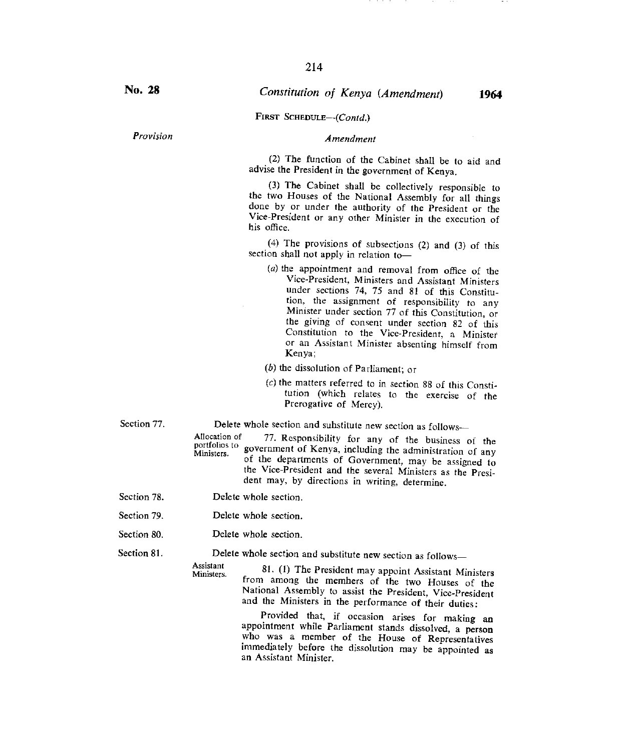#### *Provision Amendment*

(2) The function of the Cabinet shall be to aid and advise the President in the government of Kenya.

(3) The Cabinet shall be collectively responsible to the two Houses of the National Assembly for all things done by or under the authority of the President or the Vice-President or any other Minister in the execution of his office.

(4) The provisions of subsections (2) and (3) of this section shall not apply in relation to—

- $(a)$  the appointment and removal from office of the Vice-President, Ministers and Assistant Ministers under sections 74, 75 and 81 of this Constitution, the assignment of responsibility to any Minister under section 77 of this Constitution, or the giving of consent under section 82 of this Constitution to the Vice-President, a Minister or an Assistant Minister absenting himself from Kenya;
- (b) the dissolution of Parliament; or
- $(c)$  the matters referred to in section 88 of this Constitution (which relates to the exercise of the Prerogative of Mercy).

Section 81.

Section 77. Delete whole section and substitute new section as follows—

- Allocation of 77. Responsibility for any of the business of the portfolios to government of Kenya, including the administration of any Ministers. government of Kenya, including the administration of any of the departments of Government, may be assigned to the Vice-President and the several Ministers as the President may, by directions in writing, determine.
- Delete whole section. Section 78.
- Delete whole section. Section 79.
- Delete whole section. Section 80.

Delete whole section and substitute new section as follows—

Assistant<br>Ministers. 81. (1) The President may appoint Assistant Ministers from among the members of the two Houses of the National Assembly to assist the President, Vice-President and the Ministers in the performance of their duties:

> Provided that, if occasion arises for making an appointment while Parliament stands dissolved, a person who was a member of the House of Representatives immediately before the dissolution may be appointed as an Assistant Minister.

FIRST SCHEDULE—(Contd.)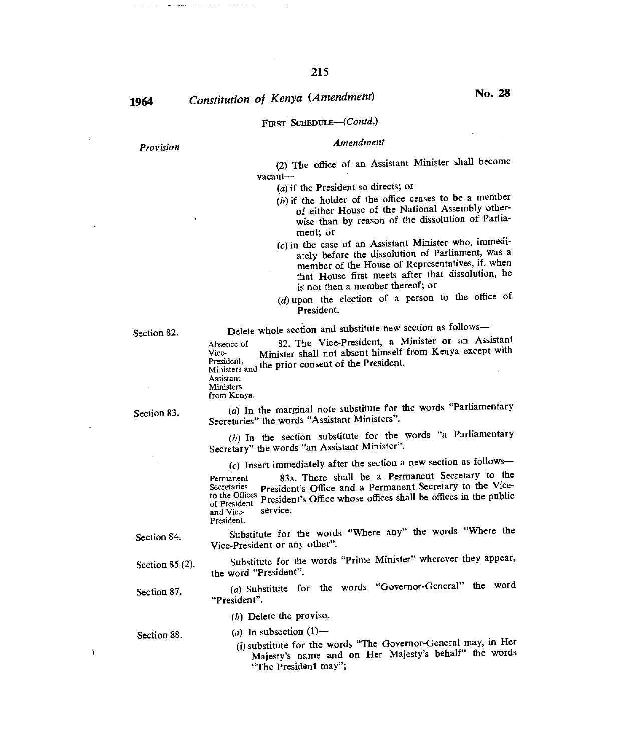$\sim$   $\sim$ 

 $\sim$  -  $\sim$  -  $\sim$  -  $\sim$ 

# **1964** *Constitution of Kenya (Amendment)* **No. 28**

### FIRST SCHEDULE-(Contd.)

# *Provision Amendment*

(2) The office of an Assistant Minister shall become vacant—

(a) if the President so directs; or

- $(b)$  if the holder of the office ceases to be a member of either House of the National Assembly otherwise than by reason of the dissolution of Parliament; or
- $(c)$  in the case of an Assistant Minister who, immediately before the dissolution of Parliament, was a member of the House of Representatives, if, when that House first meets after that dissolution, he is not then a member thereof; or
- $(d)$  upon the election of a person to the office of President.

Section 82. Delete whole section and substitute new section as follows—<br>Absence of 82. The Vice-President, a Minister or an Ass 82. The Vice-President, a Minister or an Assistant Vice- Minister shall not absent himself from Kenya except with President, Ministers and the prior consent of the President. Assistant

Ministers from Kenya.

Section 83.

(a) In the marginal note substitute for the words "Parliamentary Secretaries" the words "Assistant Ministers".

 $(b)$  In the section substitute for the words "a Parliamentary Secretary" the words "an Assistant Minister".

(c) Insert immediately after the section a new section as follows—

Permanent 83A. There shall be a Permanent Secretary to the Secretaries President's Office and a Permanent Secretary to the Vice-President's Office and a Permanent Secretary to the Viceto the Offices President's Office whose offices shall be offices in the public and Vice-<br>and Viceand Vice-

President.

Substitute for the words "Where any" the words "Where the Vice-President or any other". Section 84.

Substitute for the words "Prime Minister" wherever they appear, the word "President". Section 85 (2).

(a) Substitute for the words "Governor-General" the word "President". Section 87.

(b) Delete the proviso.

Section 88.  $(a)$  In subsection  $(1)$ —

 $\pmb{\rangle}$ 

(i) substitute for the words "The Governor-General may, in Her Majesty's name and on Her Majesty's behalf" the words "The President may";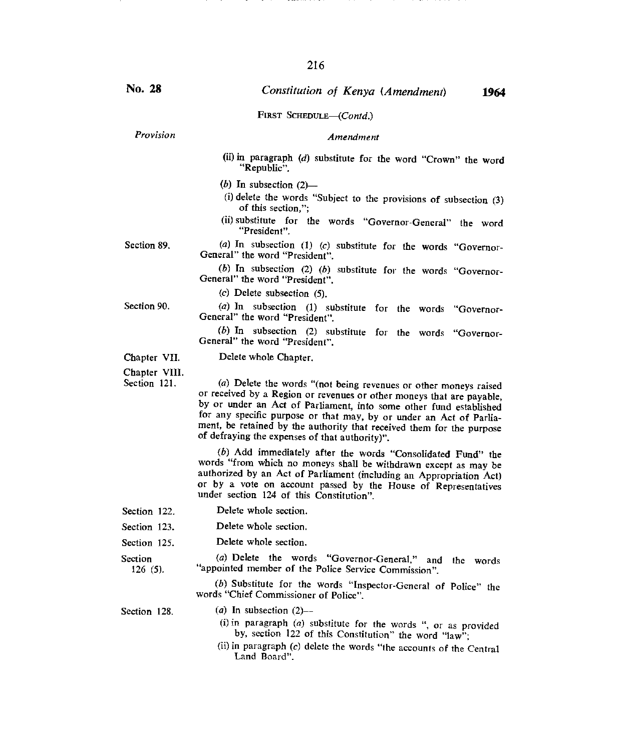#### FIRST SCHEDULE-(Contd.)

*Provision Amendment* 

(ii) in paragraph *(d)* substitute for the word "Crown" the word "Republic".

 $(b)$  In subsection  $(2)$ —

- (i) delete the words "Subject to the provisions of subsection  $(3)$ of this section,";
- (ii)substitute for the words "Governor-General" the word "President".

*(a)* In subsection (1) *(c)* substitute for the words "Governor-General" the word "President".

*(6)* In subsection (2) *(b)* substitute for the words "Governor-General" the word "President".

*(c)* Delete subsection (5).

Section 90.

(a) In subsection (1) substitute for the words "Governor-General" the word "President".

(b) In subsection (2) substitute for the words "Governor-General" the word "President".

#### Delete whole Chapter.

Chapter VII. Chapter VIII.

Section 121.

(a) Delete the words "(not being revenues or other moneys raised or received by a Region or revenues or other moneys that are payable, by or under an Act of Parliament, into some other fund established for any specific purpose or that may, by or under an Act of Parliament, be retained by the authority that received them for the purpose of defraying the expenses of that authority)".

(b) Add immediately after the words "Consolidated Fund" the words "from which no moneys shall be withdrawn except as may be authorized by an Act of Parliament (including an Appropriation Act) or by a vote on account passed by the House of Representatives under section 124 of this Constitution".

Section 122. Delete whole section.

Section 123. Delete whole section.

Section 125. Delete whole section.

Section *(a)* Delete the words "Governor-General," and the words 126 (5). "appointed member of the Police Service Commission". <sup>"</sup>appointed member of the Police Service Commission".

> *(b)* Substitute for the words "Inspector-General of Police" the words "Chief Commissioner of Police".

- Section 128. *(a)* In subsection (2)--
	- (i)in paragraph *(a)* substitute for the words ", or as provided by, section 122 of this Constitution" the word "law";
	- (ii)in paragraph *(c)* delete the words "the accounts of the Central Land Board".

Section 89.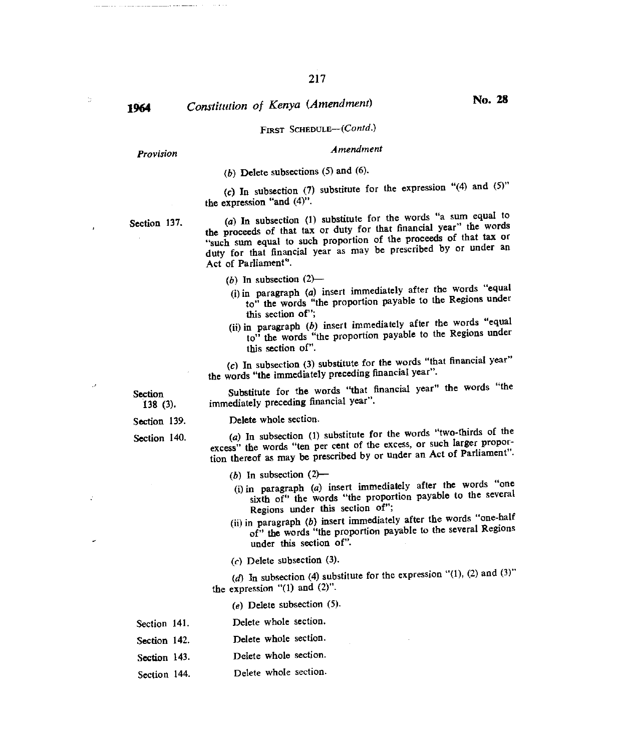# *1964 Constitution of Kenya (Amendment)* No. **<sup>28</sup>**

## FIRST SCHEDULE-(Contd.)

# *Provision Amendment*

(b) Delete subsections  $(5)$  and  $(6)$ .

(c) In subsection (7) substitute for the expression "(4) and  $(5)$ " the expression "and (4)".

Section 137. (a) In subsection (1) substitute for the words "a sum equal to the proceeds of that tax or duty for that financial year" the words "such sum equal to such proportion of the proceeds of that tax or duty for that financial year as may be prescribed by or under an Act of Parliament".

- (b) In subsection  $(2)$ —
- (i)in paragraph (a) insert immediately after the words "equal to" the words "the proportion payable to the Regions under this section of";
- (ii)in paragraph *(b)* insert immediately after the words "equal to" the words "the proportion payable to the Regions under this section of".

*(c)* In subsection (3) substitute for the words "that financial year" the words "the immediately preceding financial year".

Section Substitute for the words "that financial year" the words "the 138 (3). immediately preceding financial year". immediately preceding financial year".

Section 139. Delete whole section.

t.

Section 140. *(a)* In subsection (1) substitute for the words "two-thirds of the excess" the words "ten per cent of the excess, or such larger proportion thereof as may be prescribed by or under an Act of Parliament".

- (b) In subsection  $(2)$ --
- (i)in paragraph (a) insert immediately after the words "one sixth of" the words "the proportion payable to the several Regions under this section of";
- (ii)in paragraph *(b)* insert immediately after the words "one-half of" the words "the proportion payable to the several Regions under this section of".
- *(c)* Delete subsection (3).

*(d)* In subsection (4) substitute for the expression "(1), (2) and (3)" the expression "(1) and (2)".

*(e)* Delete subsection *(5).* 

- Section 141. Delete whole section.
- Section 142. Delete whole section.
- Section 143. Delete whole section.
- Section 144. Delete whole section.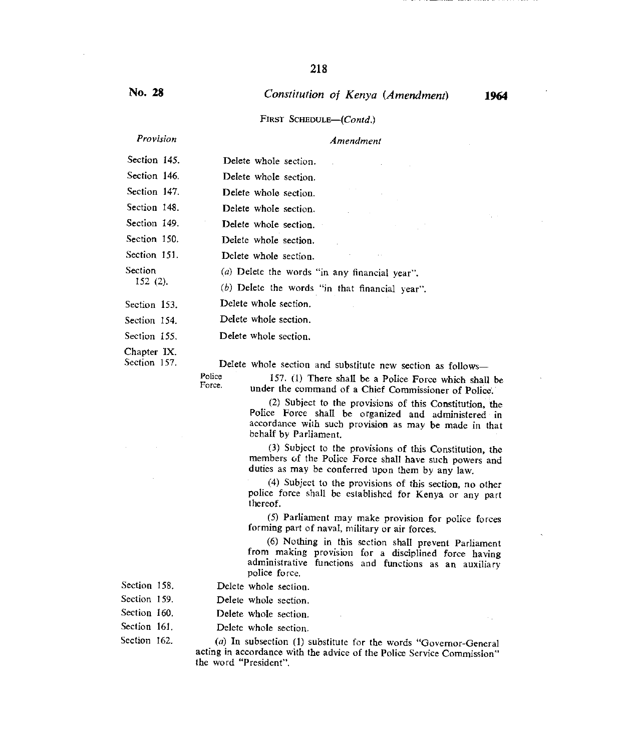### FIRST SCHEDULE—(Contd.)

# *Provision Amendment*

| Section 145.                | Delete whole section.                                                                             |
|-----------------------------|---------------------------------------------------------------------------------------------------|
| Section 146.                | Delete whole section.                                                                             |
| Section 147.                | Delete whole section.                                                                             |
| Section 148.                | Delete whole section.                                                                             |
| Section 149.                | Delete whole section.                                                                             |
| Section 150.                | Delete whole section.                                                                             |
| Section 151.                | Delete whole section.                                                                             |
| Section<br>$152(2)$ .       | (a) Delete the words "in any financial year".<br>$(b)$ Delete the words "in that financial year". |
| Section 153.                | Delete whole section.                                                                             |
| Section 154.                | Delete whole section.                                                                             |
| Section 155.                | Delete whole section.                                                                             |
| Chapter IX.<br>Section 157. | Delete whole section and substitute new cection                                                   |

Delete whole section and substitute new section as follows-

Police Force.

157. (1) There shall be a Police Force which shall be under the command of a Chief Commissioner of Police.

(2) Subject to the provisions of this Constitution, the Police Force shall be organized and administered in accordance with such provision as may be made in that behalf by Parliament.

(3) Subject to the provisions of this Constitution, the members of the Police Force shall have such powers and duties as may be conferred upon them by any law.

(4) Subject to the provisions of this section, no other police force shall be established for Kenya or any part thereof.

(5) Parliament may make provision for police forces forming part of naval, military or air forces.

(6) Nothing in this section shall prevent Parliament from making provision for a disciplined force having administrative functions and functions as an auxiliary police force.

- Section 158. Delete whole section.
- 
- Section 159. Delete whole section.
- Section 160. Delete whole section.
- Section 161. Delete whole section.

Section 162. *(a)* In subsection (1) substitute for the words "Governor-General acting in accordance with the advice of the Police Service Commission" the word "President".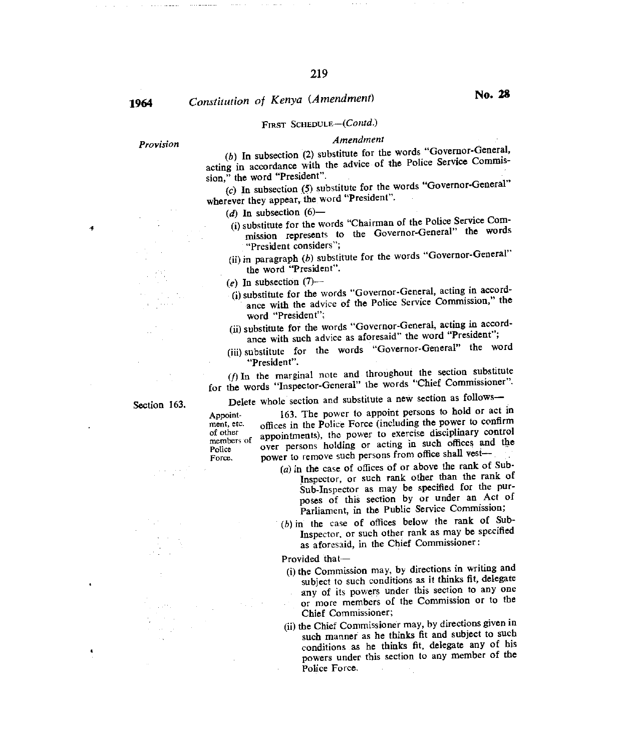# **1964** Constitution of Kenya (Amendment) **No. 28**

## FIRST SCHEDULE-(Contd.)

# *Provision Amendment*

*(b)* In subsection (2) substitute for the words "Governor-General, acting in accordance with the advice of the Police Service Commission," the word "President".

*(c)* In subsection (5) substitute for the words "Governor-General" wherever they appear, the word "President".

- (d) In subsection  $(6)$ —
- (i)substitute for the words "Chairman of the Police Service Commission represents to the Governor-General" the words "President considers";
- (ii) in paragraph (b) substitute for the words "Governor-General" the word "President".

 $(e)$  In subsection  $(7)$ —

- (i)substitute for the words "Governor-General, acting in accordance with the advice of the Police Service Commission," the word "President";
- (ii)substitute for the words "Governor-General, acting in accordance with such advice as aforesaid" the word "President";
- (iii) substitute for the words "Governor-General" the word "President".

*(1)* In the marginal note and throughout the section substitute for the words "Inspector-General" the words "Chief Commissioner".

Section 163. Delete whole section and substitute a new section as follows— Appoint-<br>  $163$ . The power to appoint persons to hold or act in<br>
ment, etc. offices in the Police Force (including the power to confirm ment, etc. offices in the Police Force (including the power to confirm<br>of other appointments) the power to exercise disciplinary control appointments), the power to exercise disciplinary control Police over persons holding or acting in such offices and the Force. power to remove such persons from office shall vest-

- (a) in the case of offices of or above the rank of Sub-Inspector, or such rank other than the rank of Sub-Inspector as may be specified for the purposes of this section by or under an Act of Parliament, in the Public Service Commission;
- $(b)$  in the case of offices below the rank of Sub-Inspector, or such other rank as may be specified as aforesaid, in the Chief Commissioner :

Provided that-

- (i) the Commission may, by directions in writing and subject to such conditions as it thinks fit, delegate any of its powers under this section to any one or more members of the Commission or to the Chief Commissioner;
- (ii) the Chief Commissioner may, by directions given in such manner as he thinks fit and subject to such conditions as he thinks fit, delegate any of his powers under this section to any member of the Police Force.

members of<br>Police

×,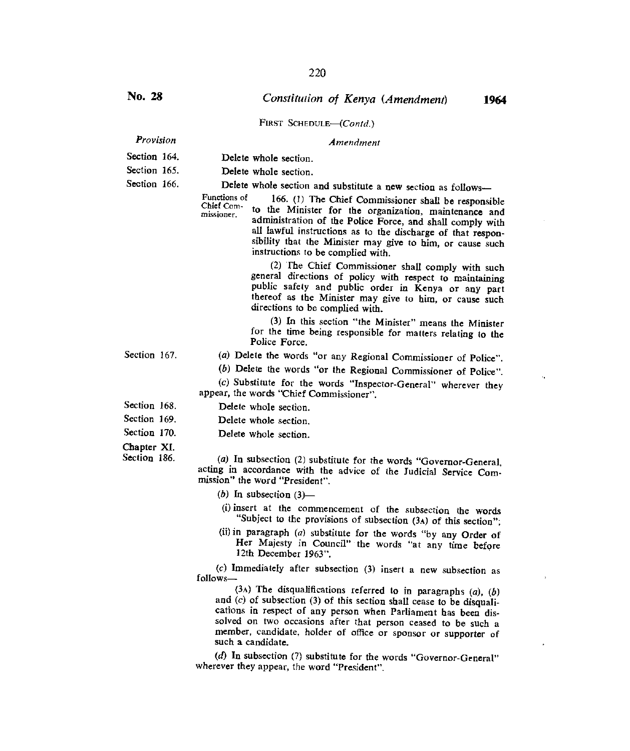#### FIRST SCHEDULE-(Contd.)

#### *Provision Amendment*

- Section 164. Delete whole section.
- Section 165. Delete whole section.

Section 166. Delete whole section and substitute a new section as follows—

Functions of 166. (1) The Chief Commissioner shall be responsible Chief Com-<br>to the Minister for the organization, maintenance and administration of the Police Force, and shall comply with all lawful instructions as to the discharge of that responsibility that the Minister may give to him, or cause such instructions to be complied with.

> (2) The Chief Commissioner shall comply with such general directions of policy with respect to maintaining public safety and public order in Kenya or any part thereof as the Minister may give to him, or cause such directions to be complied with.

> (3) In this section "the Minister" means the Minister for the time being responsible for matters relating to the Police Force.

- Section 167. (a) Delete the words "or any Regional Commissioner of Police".
	- (b) Delete the words "or the Regional Commissioner of Police".

(c) Substitute for the words "Inspector-General" wherever they appear, the words "Chief Commissioner".

- Section 168. Delete whole section.
- Section 169. Delete whole section.
- Section 170. Delete whole section.
- Chapter XI.

Section 186.

*(a)* In subsection (2) substitute for the words "Governor-General, acting in accordance with the advice of the Judicial Service Commission" the word "President".

- *(b)* In subsection (3)—
- (i) insert at the commencement of the subsection the words "Subject to the provisions of subsection (3A) of this section";
- (ii)in paragraph *(a)* substitute for the words "by any Order of Her Majesty in Council" the words "at any time before 12th December 1963".

*(c)* Immediately after subsection (3) insert a new subsection as follows-

(3A) The disqualifications referred to in paragraphs *(a), (b)*  and *(c)* of subsection (3) of this section shall cease to be disqualications in respect of any person when Parliament has been dissolved on two occasions after that person ceased to be such a member, candidate, holder of office or sponsor or supporter of such a candidate.

*(d)* In subsection (7) substitute for the words "Governor-General" wherever they appear, the word "President".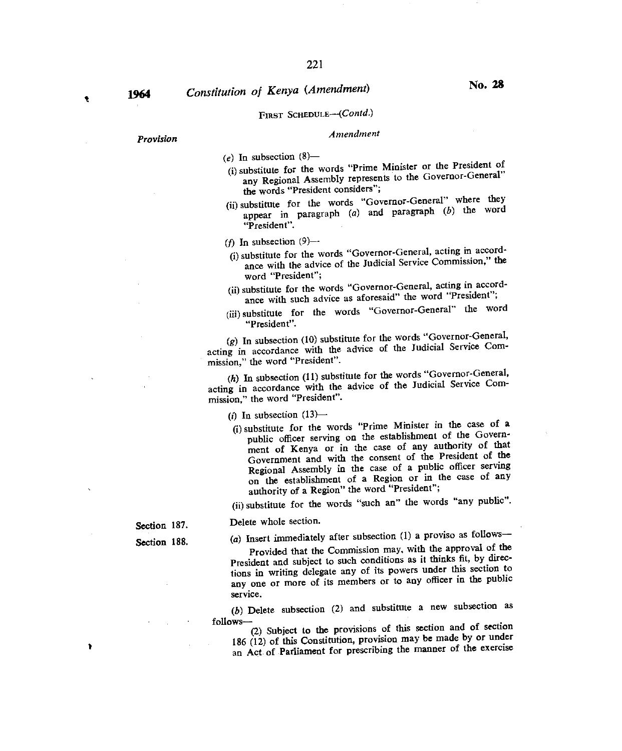$\bullet$ 

# 1964 *Constitution of Kenya (Amendment)* **No. 28**

# FIRST SCHEDULE—(Contd.)

# *Provision Amendment*

 $(e)$  In subsection  $(8)$ —

- (i)substitute for the words "Prime Minister or the President of any Regional Assembly represents to the Governor-General" the words "President considers";
- (ii) substitute for the words "Governor-General" where they appear in paragraph  $(a)$  and paragraph  $(b)$  the word "President".

(f) In subsection  $(9)$ --

- (i)substitute for the words "Governor-General, acting in accordance with the advice of the Judicial Service Commission," the word "President";
- (ii)substitute for the words "Governor-Genera, acting in accordance with such advice as aforesaid" the word "President";
- (iii)substitute for the words "Governor-General" the word "President".

 $g$ ) In subsection (10) substitute for the words "Governor-General, acting in accordance with the advice of the Judicial Service Commission," the word "President".

 $(h)$  In subsection  $(11)$  substitute for the words "Governor-General, acting in accordance with the advice of the Judicial Service Commission," the word "President".

(i) In subsection  $(13)$ —

Delete whole section.

(i)substitute for the words "Prime Minister in the case of a public officer serving on the establishment of the Government of Kenya or in the case of any authority of that Government and with the consent of the President of the Regional Assembly in the case of a public officer serving on the establishment of a Region or in the case of any authority of a Region" the word "President";

(ii)substitute for the words "such an" the words "any public".

Section 187.

Section 188.  $(a)$  Insert immediately after subsection (1) a proviso as follows—

Provided that the Commission may, with the approval of the President and subject to such conditions as it thinks fit, by directions in writing delegate any of its powers under this section to any one or more of its members or to any officer in the public service.

*(6)* Delete subsection (2) and substitute a new subsection as

follows—<br>(2) Subject to the provisions of this section and of section 186 (12) of this Constitution, provision may be made by or under an Act of Parliament for prescribing the manner of the exercise

١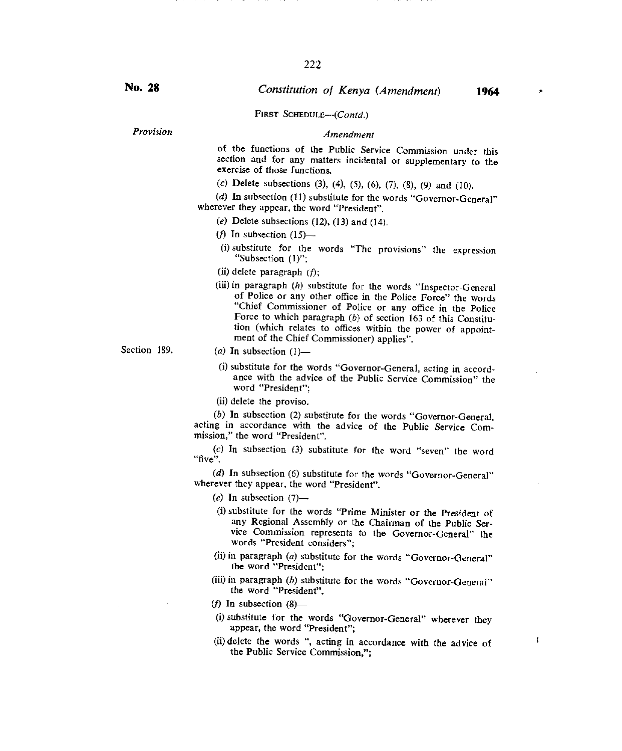FIRST SCHEDULE---(Contd.)

*Provision Amendment* 

of the functions of the Public Service Commission under this section and for any matters incidental or supplementary to the exercise of those functions.

(c) Delete subsections (3), (4), (5), (6), *(7),* (8), (9) and (10).

(d) In subsection (11) substitute for the words "Governor-General" wherever they appear, the word "President".

- (e) Delete subsections  $(12)$ ,  $(13)$  and  $(14)$ .
- (f) In subsection  $(15)$ —
- (i)substitute for the words "The provisions" the expression "Subsection (1)";
- (ii)delete paragraph *if);*
- (iii) in paragraph (h) substitute for the words "Inspector-General of Police or any other office in the Police Force" the words "Chief Commissioner of Police or any office in the Police Force to which paragraph *(b)* of section 163 of this Constitution (which relates to offices within the power of appointment of the Chief Commissioner) applies".

- Section 189. *(a)* In subsection (1)—
	- (i)substitute for the words "Governor-General, acting in accordance with the advice of the Public Service Commission" the word "President";
	- (ii) delete the proviso.

*(b)* In subsection (2) substitute for the words "Governor-General, acting in accordance with the advice of the Public Service Commission," the word "President".

*(c)* In subsection (3) substitute for the word "seven" the word "five".

*(d)* In subsection (6) substitute for the words "Governor-General" wherever they appear, the word "President".

*(e)* In subsection (7)—

- (i)substitute for the words "Prime Minister or the President of any Regional Assembly or the Chairman of the Public Service Commission represents to the Governor-General" the words "President considers";
- (ii) in paragraph (a) substitute for the words "Governor-General" the word "President";
- (iii) in paragraph (b) substitute for the words "Governor-General" the word "President".
- (f) In subsection  $(8)$ —
- (i) substitute for the words "Governor-General" wherever they appear, the word "President";
- (ii) delete the words ", acting in accordance with the advice of the Public Service Commission,";

 $\mathbf{f}$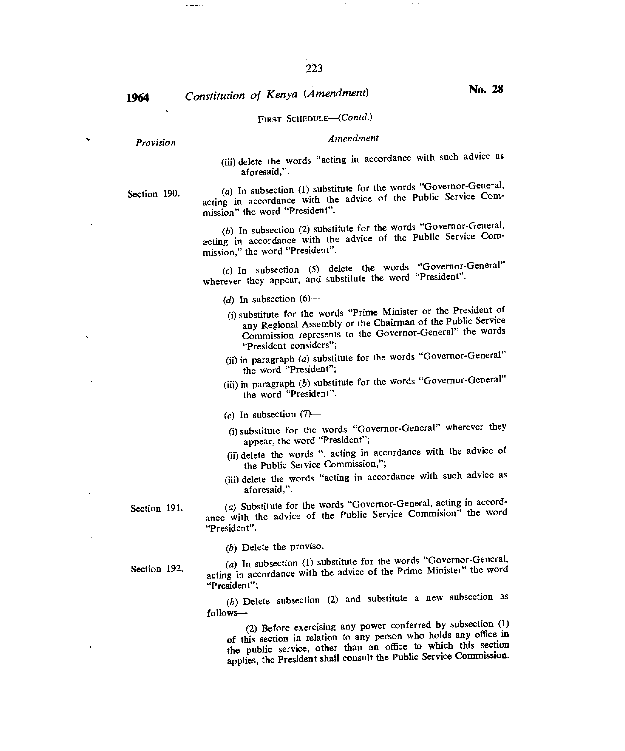# **1964** *Constitution of Kenya (Amendment)* **<b>No. 28**

### FIRST SCHEDULE-(Contd.)

# *Provision Amendment*

(iii) delete the words "acting in accordance with such advice as aforesaid,".

Section 190. *(a)* In subsection (1) substitute for the words "Governor-General, acting in accordance with the advice of the Public Service Commission" the word "President".

> *(b)* In subsection (2) substitute for the words "Governor-General, acting in accordance with the advice of the Public Service Commission," the word "President".

> *(c)* In subsection *(5)* delete the words "Governor-General" wherever they appear, and substitute the word "President".

*(d)* In subsection (6)--

- (i)substitute for the words "Prime Minister or the President of any Regional Assembly or the Chairman of the Public Service Commission represents to the Governor-General" the words "President considers";
- (ii)in paragraph *(a)* substitute for the words "Governor-General" the word "President";
- (iii) in paragraph (b) substitute for the words "Governor-General" the word "President".
- $(e)$  In subsection  $(7)$ —
- (i)substitute for the words "Governor-General" wherever they appear, the word "President";
- (ii) delete the words ", acting in accordance with the advice of the Public Service Commission,";
- (iii) delete the words "acting in accordance with such advice as aforesaid,".

Section 191. *(a)* Substitute for the words "Governor-General, acting in accordance with the advice of the Public Service Commision" the word "President".

*(b)* Delete the proviso.

Section 192.

(a) In subsection (1) substitute for the words "Governor-General, acting in accordance with the advice of the Prime Minister" the word "President";

*(b)* Delete subsection (2) and substitute a new subsection as follows—

(2) Before exercising any power conferred by subsection (1) of this section in relation to any person who holds any office in the public service, other than an office to which this section applies, the President shall consult the Public Service Commission.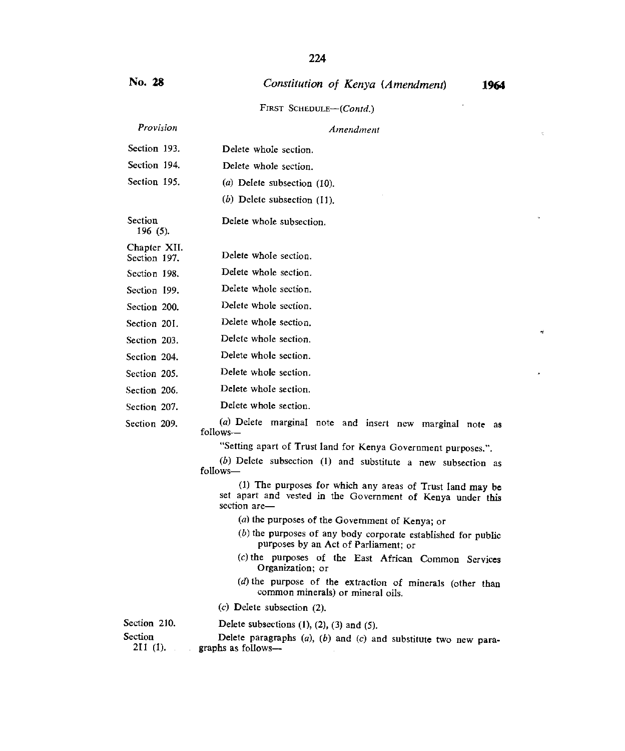J.

Ÿ

#### FIRST SCHEDULE—(Contd.)

| Provision                    | Amendment                        |  |
|------------------------------|----------------------------------|--|
| Section 193.                 | Delete whole section.            |  |
| Section 194.                 | Delete whole section.            |  |
| Section 195.                 | $(a)$ Delete subsection $(10)$ . |  |
|                              | (b) Delete subsection $(11)$ .   |  |
| Section<br>196 (5).          | Delete whole subsection.         |  |
| Chapter XII.<br>Section 197. | Delete whole section.            |  |
| Section 198.                 | Delete whole section.            |  |
| Section 199.                 | Delete whole section.            |  |
| Section 200.                 | Delete whole section.            |  |
| Section 201.                 | Delete whole section.            |  |
| Section 203.                 | Delete whole section.            |  |
| Section 204.                 | Delete whole section.            |  |

Delete whole section. Section 205.

Delete whole section. Section 206.

Delete whole section. Section 207.

Section 209.

*(a)* Delete marginal note and insert new marginal note *as*  follows—

"Setting apart of Trust land for Kenya Government purposes.".

*(b) Delete* subsection (1) and substitute a new subsection as follows-

(1) The purposes for which any areas of Trust land *may* be set apart and vested in the Government of Kenya under this section are—

- $(a)$  the purposes of the Government of Kenya; or
- $(b)$  the purposes of any body corporate established for public purposes by an Act of Parliament; or
- (c)the purposes of the East African Common Services Organization; or
- $(d)$  the purpose of the extraction of minerals (other than common minerals) or mineral oils.
- *(c)* Delete subsection (2).

Section 210. Delete subsections  $(1)$ ,  $(2)$ ,  $(3)$  and  $(5)$ .

Section Delete paragraphs (a), (b) and (c) and substitute two new para-<br>211 (1). graphs as follows--graphs as follows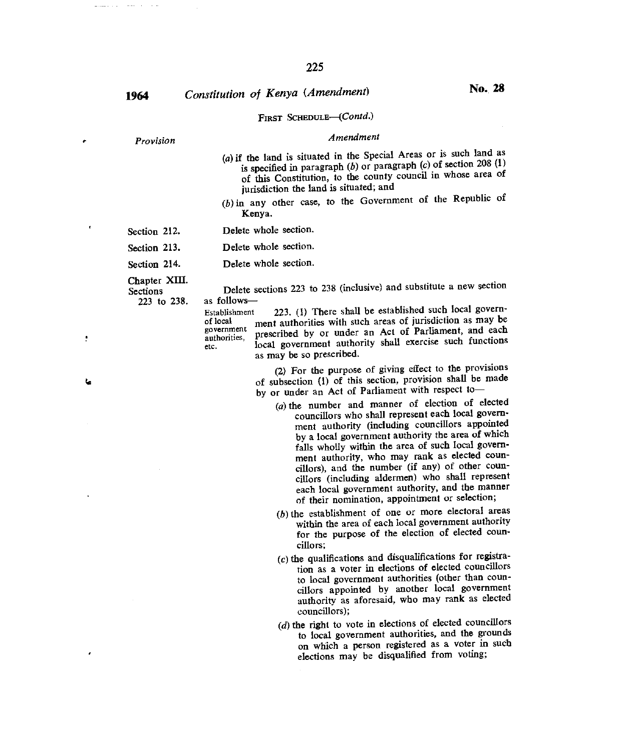**<sup>1964</sup>***Constitution of Kenya (Amendment)* **No. 28** 

### FIRST SCHEDULE—(Contd.)

# *• Provision Amendment*

- (a)if the land is situated in the Special Areas or is such land as is specified in paragraph *(b)* or paragraph *(c)* of section 208 (1) of this Constitution, to the county council in whose area of jurisdiction the land is situated; and
- (b)in any other case, to the Government of the Republic of Kenya.
- Section 212. Delete whole section.
- Section 213. Delete whole section.
- Section 214. Delete whole section.

Chapter XIII.<br>Sections

Sections Delete sections 223 to 238 (inclusive) and substitute a new section 223 to 238. as followsas follows-

Establishment 223. (1) There shall be established such local govern-<br>of local ment authorities with such areas of jurisdiction as may be ment authorities with such areas of jurisdiction as may be government prescribed by or under an Act of Parliament, and each etc. local government authority shall exercise such functions as may be so prescribed.

> (2) For the purpose of giving effect to the provisions of subsection (1) of this section, provision shall be made by or under an Act of Parliament with respect to—

- $(a)$  the number and manner of election of elected councillors who shall represent each local government authority (including councillors appointed by a local government authority the area of which falls wholly within the area of such local government authority, who may rank as elected councillors), and the number (if any) of other councillors (including aldermen) who shall represent each local government authority, and the manner of their nomination, appointment or selection;
- $(b)$  the establishment of one or more electoral areas within the area of each local government authority for the purpose of the election of elected councillors;
- $(c)$  the qualifications and disqualifications for registration as a voter in elections of elected councillors to local government authorities (other than councillors appointed by another local government authority as aforesaid, who may rank as elected councillors);
- $(d)$  the right to vote in elections of elected councillors to local government authorities, and the grounds on which a person registered as a voter in such elections may be disqualified from voting;

ین

÷

المنابذ المستبق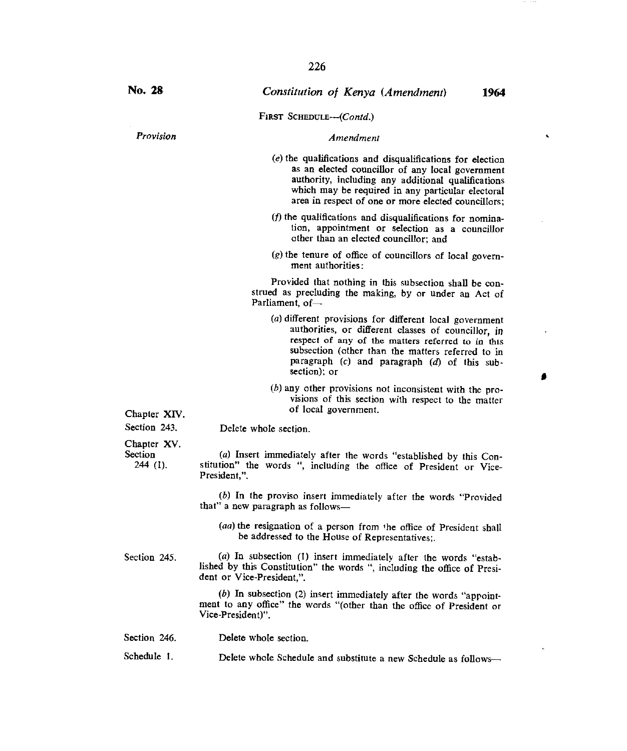FIRST SCHEDULE---(Contd.)

#### *Provision Amendment*

- $(e)$  the qualifications and disqualifications for election as an elected councillor of any local government authority, including any additional qualifications which may be required in any particular electoral area in respect of one or more elected councillors;
- $(f)$  the qualifications and disqualifications for nomination, appointment or selection as a councillor other than an elected councillor; and
- $(g)$  the tenure of office of councillors of local government authorities:

Provided that nothing in this subsection shall be construed as precluding the making, by or under an Act of Parliament, of—

- *(a)* different provisions for different local government authorities, or different classes of councillor, in respect of any of the matters referred to in this subsection (other than the matters referred to in paragraph *(c)* and paragraph *(d)* of this subsection); or
- $(b)$  any other provisions not inconsistent with the provisions of this section with respect to the matter of local government.

Chapter XIV.

Section 243.

Delete whole section.

Chapter XV. Section 244 (1).

*(a)* Insert immediately after the words "established by this Constitution" the words ", including the office of President or Vice-President,".

*(b)* In the proviso insert immediately after the words "Provided that" a new paragraph as follows-

*(aa)* the resignation of a person from the office of President shall be addressed to the House of Representatives;.

Section 245. (a) In subsection (1) insert immediately after the words "established by this Constitution" the words ", including the office of President or Vice-President,".

> *(b)* In subsection (2) insert immediately after the words "appointment to any office" the words "(other than the office of President or Vice-President)".

Schedule 1. Delete whole Schedule and substitute a new Schedule as follows-

 $\bullet$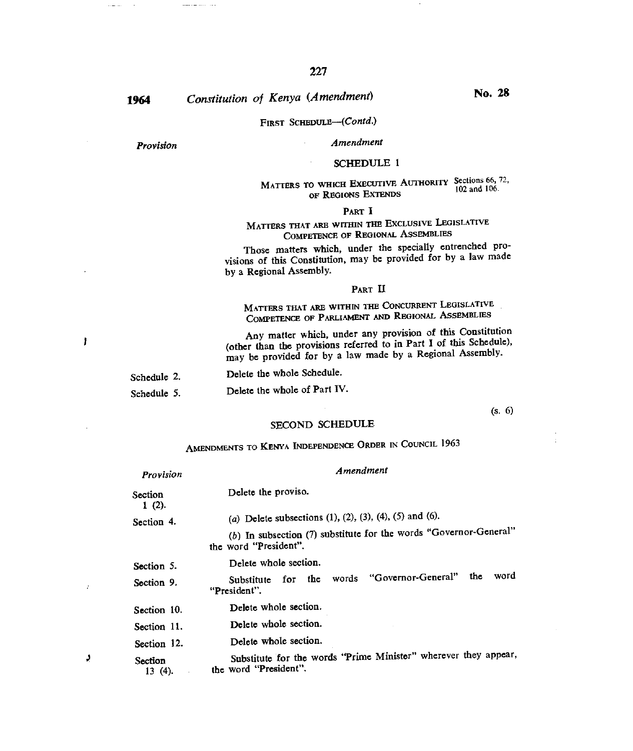# **<sup>1964</sup>***Constitution of Kenya (Amendment)* No. 28

### FIRST SCHEDULE-(Contd.)

*Provision* 

 $\cdots$ 

# *Amendment*

### SCHEDULE 1

### MATTERS TO WHICH EXECUTIVE AUTHORITY Sections 66, 72, OF REGIONS EXTENDS

#### PART I

# MATTERS THAT ARE WITHIN THE EXCLUSIVE LEGISLATIVE COMPETENCE OF REGIONAL ASSEMBLIES

Those matters which, under the specially entrenched provisions of this Constitution, may be provided for by a law made by a Regional Assembly.

#### PART II

MATTERS THAT ARE WITHIN THE CONCURRENT LEGISLATIVE COMPETENCE OF PARLIAMENT AND REGIONAL ASSEMBLIES

Any matter which, under any provision of this Constitution (other than the provisions referred to in Part I of this Schedule), may be provided for by a law made by a Regional Assembly.

Schedule 2. Delete the whole Schedule.

Schedule 5. Delete the whole of Part IV.

#### (s. 6)

#### SECOND SCHEDULE

# AMENDMENTS TO KENYA INDEPENDENCE ORDER IN COUNCIL 1963

| Provision            | Amendment                                                                                    |
|----------------------|----------------------------------------------------------------------------------------------|
| Section<br>1(2).     | Delete the proviso.                                                                          |
| Section 4.           | (a) Delete subsections (1), (2), (3), (4), (5) and (6).                                      |
|                      | (b) In subsection $(7)$ substitute for the words "Governor-General"<br>the word "President". |
| Section 5.           | Delete whole section.                                                                        |
| Section 9.           | word<br>the<br>for the words "Governor-General"<br>Substitute<br>"President".                |
| Section 10.          | Delete whole section.                                                                        |
| Section 11.          | Delete whole section.                                                                        |
| Section 12.          | Delete whole section.                                                                        |
| Section<br>$13(4)$ . | Substitute for the words "Prime Minister" wherever they appear,<br>the word "President".     |

J.

 $\overline{1}$ 

Ť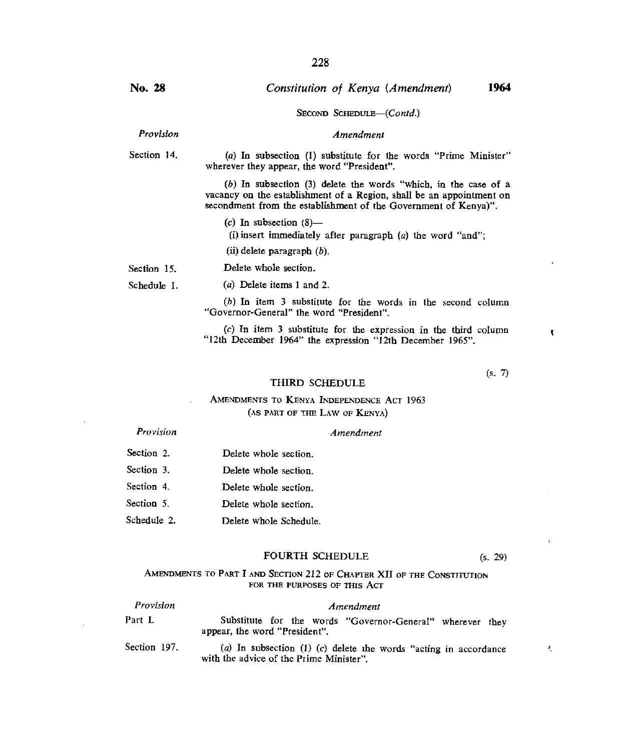SECOND SCHEDULE—(Contd.)

#### *Amendment*

Section 14. (a) In subsection (I) substitute for the words "Prime Minister" wherever they appear, the word "President".

> (b) In subsection (3) delete the words "which, in the case of a vacancy on the establishment of a Region, shall be an appointment on secondment from the establishment of the Government of Kenya)".

(c) In subsection  $(8)$ —

Delete whole section.

(i) insert immediately after paragraph (a) the word "and";

(ii)delete paragraph *(b).* 

Section 15.

**No. 28** 

*Provision* 

Schedule I. (a) Delete items I and 2.

> (b) In item 3 substitute for the words in the second column "Governor-General" the word "President".

> (c) In item 3 substitute for the expression in the third column "12th December 1964" the expression "12th December 1965".

> > (s. 7)

ł.

 $\ell_{\rm s}$ 

#### THIRD SCHEDULE

### AMENDMENTS TO KENYA INDEPENDENCE ACT 1963 (AS PART OF THE LAW OF KENYA)

#### *Provision*

#### *Amendment*

Section 2. Section 3. Section 4. Section 5. Schedule 2. Delete whole section. Delete whole section. Delete whole section. Delete whole section. Delete whole Schedule.

#### FOURTH SCHEDULE (s. 29)

#### AMENDMENTS TO PART I AND SECTION 212 OF CHAPTER XII OF THE CONSTITUTION FOR THE PURPOSES OF THIS ACT

| Provision    | Amendment                                                                                                   |  |
|--------------|-------------------------------------------------------------------------------------------------------------|--|
| Part I.      | Substitute for the words "Governor-General" wherever they<br>appear, the word "President".                  |  |
| Section 197. | (a) In subsection (1) (c) delete the words "acting in accordance<br>with the advice of the Prime Minister". |  |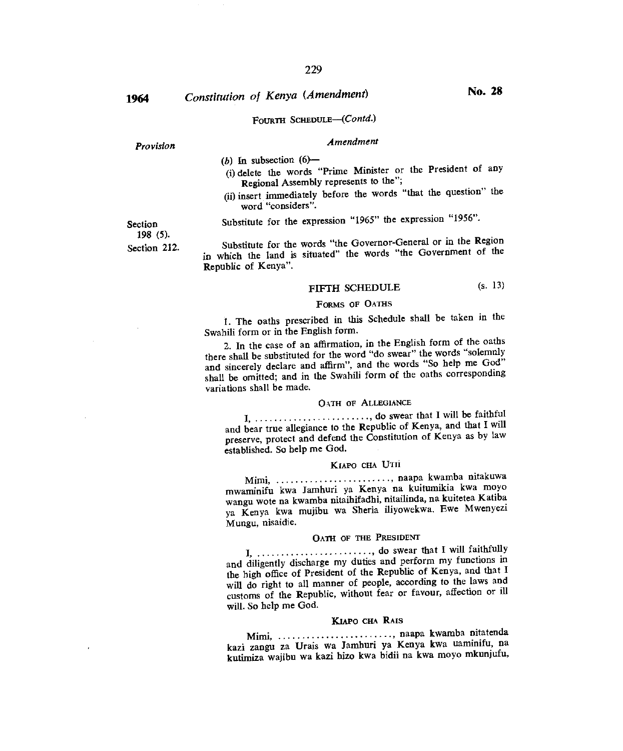**<sup>1964</sup>***Constitution of Kenya (Amendment)* **No. 28** 

### FOURTH SCHEDULE-(Contd.)

### *Provision Amendment*

 $(b)$  In subsection  $(6)$ --

- (i) delete the words "Prime Minister or the President of any Regional Assembly represents to the";
- (ii) insert immediately before the words "that the question" the word "considers".

Section Substitute for the expression "1965" the expression "1956".

Section 212. Substitute for the words "the Governor-General or in the Region in which the land is situated" the words "the Government of the Republic of Kenya".

### FIFTH SCHEDULE (s. 13)

#### FORMS OF OATHS

1. The oaths prescribed in this Schedule shall be taken in the Swahili form or in the English form.

2. In the case of an affirmation, in the English form of the oaths there shall be substituted for the word "do swear" the words "solemnly and sincerely declare and affirm", and the words "So help me God" shall be omitted; and in the Swahili form of the oaths corresponding variations shall be made.

#### OATH OF ALLEGIANCE

do swear that I will be faithful and bear true allegiance to the Republic of Kenya, and that I will preserve, protect and defend the Constitution of Kenya as by law established. So help me God.

### KIAPO CHA UTII

Mimi, ........................., naapa kwamba nitakuwa mwaminifu kwa Jamhuri ya Kenya na kuitumikia kwa moyo wangu wote na kwamba nitaihifadhi, nitailinda, na kuitetea Katiba ya Kenya kwa mujibu wa Sheria iliyowekwa. Ewe Mwenyezi Mungu, nisaidie.

### OATH OF THE PRESIDENT

I, ........................, do swear that I will faithfully and diligently discharge my duties and perform my functions in the high office of President of the Republic of Kenya, and that I will do right to all manner of people, according to the laws and customs of the Republic, without fear or favour, affection or ill will. So help me God.

#### KIAPO CHA RAIS

Mimi, ........................, naapa kwamba nitatenda kazi zangu za Urais wa Jamhuri ya Kenya kwa uaminifu, na kutimiza wajibu wa kazi hizo kwa bidii na kwa moyo mkunjufu,

198 (5).